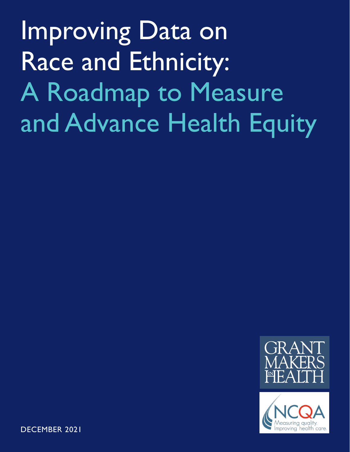Improving Data on Race and Ethnicity: A Roadmap to Measure and Advance Health Equity





DECEMBER 2021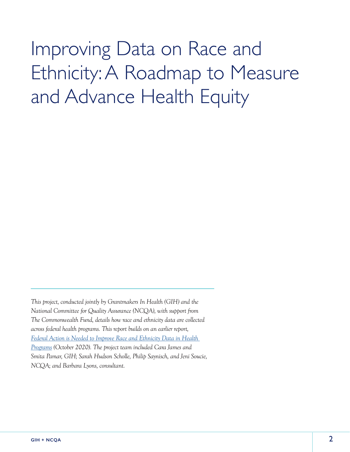# Improving Data on Race and Ethnicity: A Roadmap to Measure and Advance Health Equity

*This project, conducted jointly by Grantmakers In Health (GIH) and the National Committee for Quality Assurance (NCQA), with support from The Commonwealth Fund, details how race and ethnicity data are collected across federal health programs. This report builds on an earlier report, [Federal Action is Needed to Improve Race and Ethnicity Data in Health](https://www.gih.org/publication/federal-action-is-needed-to-improve-race-and-ethnicity-data-in-health-programs/)  [Programs](https://www.gih.org/publication/federal-action-is-needed-to-improve-race-and-ethnicity-data-in-health-programs/) (October 2020). The project team included Cara James and Smita Pamar, GIH; Sarah Hudson Scholle, Philip Saynisch, and Jeni Soucie, NCQA; and Barbara Lyons, consultant.*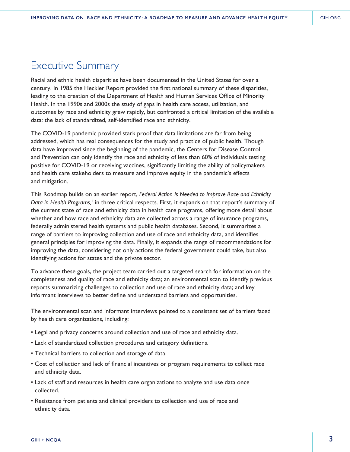# Executive Summary

Racial and ethnic health disparities have been documented in the United States for over a century. In 1985 the Heckler Report provided the first national summary of these disparities, leading to the creation of the Department of Health and Human Services Office of Minority Health. In the 1990s and 2000s the study of gaps in health care access, utilization, and outcomes by race and ethnicity grew rapidly, but confronted a critical limitation of the available data: the lack of standardized, self-identified race and ethnicity.

The COVID-19 pandemic provided stark proof that data limitations are far from being addressed, which has real consequences for the study and practice of public health. Though data have improved since the beginning of the pandemic, the Centers for Disease Control and Prevention can only identify the race and ethnicity of less than 60% of individuals testing positive for COVID-19 or receiving vaccines, significantly limiting the ability of policymakers and health care stakeholders to measure and improve equity in the pandemic's effects and mitigation.

This Roadmap builds on an earlier report, *Federal Action Is Needed to Improve Race and Ethnicity*  Data in Health Programs,<sup>1</sup> in three critical respects. First, it expands on that report's summary of the current state of race and ethnicity data in health care programs, offering more detail about whether and how race and ethnicity data are collected across a range of insurance programs, federally administered health systems and public health databases. Second, it summarizes a range of barriers to improving collection and use of race and ethnicity data, and identifies general principles for improving the data. Finally, it expands the range of recommendations for improving the data, considering not only actions the federal government could take, but also identifying actions for states and the private sector.

To advance these goals, the project team carried out a targeted search for information on the completeness and quality of race and ethnicity data; an environmental scan to identify previous reports summarizing challenges to collection and use of race and ethnicity data; and key informant interviews to better define and understand barriers and opportunities.

The environmental scan and informant interviews pointed to a consistent set of barriers faced by health care organizations, including:

- Legal and privacy concerns around collection and use of race and ethnicity data.
- Lack of standardized collection procedures and category definitions.
- Technical barriers to collection and storage of data.
- Cost of collection and lack of financial incentives or program requirements to collect race and ethnicity data.
- Lack of staff and resources in health care organizations to analyze and use data once collected.
- Resistance from patients and clinical providers to collection and use of race and ethnicity data.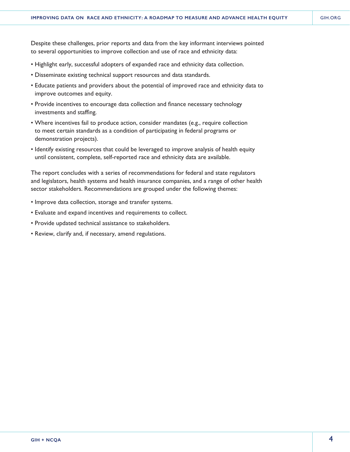Despite these challenges, prior reports and data from the key informant interviews pointed to several opportunities to improve collection and use of race and ethnicity data:

- Highlight early, successful adopters of expanded race and ethnicity data collection.
- Disseminate existing technical support resources and data standards.
- Educate patients and providers about the potential of improved race and ethnicity data to improve outcomes and equity.
- Provide incentives to encourage data collection and finance necessary technology investments and staffing.
- Where incentives fail to produce action, consider mandates (e.g., require collection to meet certain standards as a condition of participating in federal programs or demonstration projects).
- Identify existing resources that could be leveraged to improve analysis of health equity until consistent, complete, self-reported race and ethnicity data are available.

The report concludes with a series of recommendations for federal and state regulators and legislators, health systems and health insurance companies, and a range of other health sector stakeholders. Recommendations are grouped under the following themes:

- Improve data collection, storage and transfer systems.
- Evaluate and expand incentives and requirements to collect.
- Provide updated technical assistance to stakeholders.
- Review, clarify and, if necessary, amend regulations.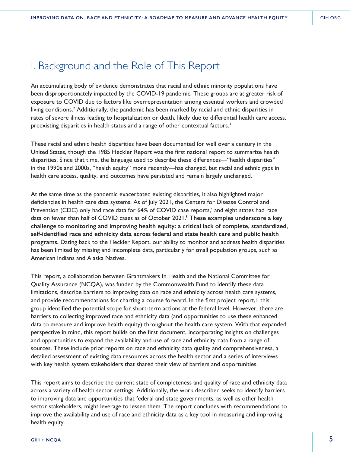# I. Background and the Role of This Report

An accumulating body of evidence demonstrates that racial and ethnic minority populations have been disproportionately impacted by the COVID-19 pandemic. These groups are at greater risk of exposure to COVID due to factors like overrepresentation among essential workers and crowded living conditions.<sup>2</sup> Additionally, the pandemic has been marked by racial and ethnic disparities in rates of severe illness leading to hospitalization or death, likely due to differential health care access, preexisting disparities in health status and a range of other contextual factors.<sup>3</sup>

These racial and ethnic health disparities have been documented for well over a century in the United States, though the 1985 Heckler Report was the first national report to summarize health disparities. Since that time, the language used to describe these differences—"health disparities" in the 1990s and 2000s, "health equity" more recently—has changed, but racial and ethnic gaps in health care access, quality, and outcomes have persisted and remain largely unchanged.

At the same time as the pandemic exacerbated existing disparities, it also highlighted major deficiencies in health care data systems. As of July 2021, the Centers for Disease Control and Prevention (CDC) only had race data for 64% of COVID case reports,<sup>4</sup> and eight states had race data on fewer than half of COVID cases as of October 2021.5 **These examples underscore a key challenge to monitoring and improving health equity: a critical lack of complete, standardized, self-identified race and ethnicity data across federal and state health care and public health programs.** Dating back to the Heckler Report, our ability to monitor and address health disparities has been limited by missing and incomplete data, particularly for small population groups, such as American Indians and Alaska Natives.

This report, a collaboration between Grantmakers In Health and the National Committee for Quality Assurance (NCQA), was funded by the Commonwealth Fund to identify these data limitations, describe barriers to improving data on race and ethnicity across health care systems, and provide recommendations for charting a course forward. In the first project report, I this group identified the potential scope for short-term actions at the federal level. However, there are barriers to collecting improved race and ethnicity data (and opportunities to use these enhanced data to measure and improve health equity) throughout the health care system. With that expanded perspective in mind, this report builds on the first document, incorporating insights on challenges and opportunities to expand the availability and use of race and ethnicity data from a range of sources. These include prior reports on race and ethnicity data quality and comprehensiveness, a detailed assessment of existing data resources across the health sector and a series of interviews with key health system stakeholders that shared their view of barriers and opportunities.

This report aims to describe the current state of completeness and quality of race and ethnicity data across a variety of health sector settings. Additionally, the work described seeks to identify barriers to improving data and opportunities that federal and state governments, as well as other health sector stakeholders, might leverage to lessen them. The report concludes with recommendations to improve the availability and use of race and ethnicity data as a key tool in measuring and improving health equity.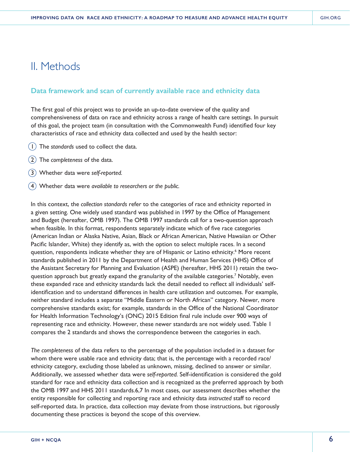# II. Methods

# **Data framework and scan of currently available race and ethnicity data**

The first goal of this project was to provide an up-to-date overview of the quality and comprehensiveness of data on race and ethnicity across a range of health care settings. In pursuit of this goal, the project team (in consultation with the Commonwealth Fund) identified four key characteristics of race and ethnicity data collected and used by the health sector:

- 1The *standards* used to collect the data.
- 2The *completeness* of the data.
- 3Whether data were *self-reported.*
- 4Whether data were *available to researchers or the public.*

In this context, the *collection standards* refer to the categories of race and ethnicity reported in a given setting. One widely used standard was published in 1997 by the Office of Management and Budget (hereafter, OMB 1997). The OMB 1997 standards call for a two-question approach when feasible. In this format, respondents separately indicate which of five race categories (American Indian or Alaska Native, Asian, Black or African American, Native Hawaiian or Other Pacific Islander, White) they identify as, with the option to select multiple races. In a second question, respondents indicate whether they are of Hispanic or Latino ethnicity.<sup>6</sup> More recent standards published in 2011 by the Department of Health and Human Services (HHS) Office of the Assistant Secretary for Planning and Evaluation (ASPE) (hereafter, HHS 2011) retain the twoquestion approach but greatly expand the granularity of the available categories.<sup>7</sup> Notably, even these expanded race and ethnicity standards lack the detail needed to reflect all individuals' selfidentification and to understand differences in health care utilization and outcomes. For example, neither standard includes a separate "Middle Eastern or North African" category. Newer, more comprehensive standards exist; for example, standards in the Office of the National Coordinator for Health Information Technology's (ONC) 2015 Edition final rule include over 900 ways of representing race and ethnicity. However, these newer standards are not widely used. Table 1 compares the 2 standards and shows the correspondence between the categories in each.

*The completeness* of the data refers to the percentage of the population included in a dataset for whom there were usable race and ethnicity data; that is, the percentage with a recorded race/ ethnicity category, excluding those labeled as unknown, missing, declined to answer or similar. Additionally, we assessed whether data were *self-reported.* Self-identification is considered the gold standard for race and ethnicity data collection and is recognized as the preferred approach by both the OMB 1997 and HHS 2011 standards.6,7 In most cases, our assessment describes whether the entity responsible for collecting and reporting race and ethnicity data *instructed* staff to record self-reported data. In practice, data collection may deviate from those instructions, but rigorously documenting these practices is beyond the scope of this overview.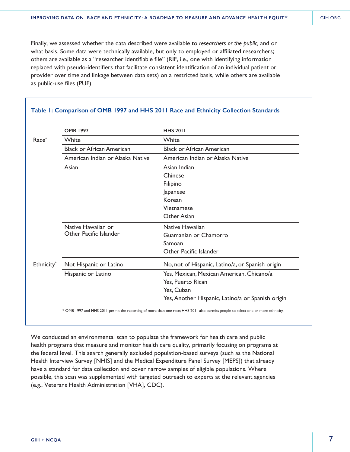Finally, we assessed whether the data described were available to *researchers or the public,* and on what basis. Some data were technically available, but only to employed or affiliated researchers; others are available as a "researcher identifiable file" (RIF, i.e., one with identifying information replaced with pseudo-identifiers that facilitate consistent identification of an individual patient or provider over time and linkage between data sets) on a restricted basis, while others are available as public-use files (PUF).

|                   | <b>OMB 1997</b>                  | <b>HHS 2011</b>                                   |
|-------------------|----------------------------------|---------------------------------------------------|
| Race <sup>*</sup> | White                            | White                                             |
|                   | <b>Black or African American</b> | <b>Black or African American</b>                  |
|                   | American Indian or Alaska Native | American Indian or Alaska Native                  |
|                   | Asian                            | Asian Indian                                      |
|                   |                                  | Chinese                                           |
|                   |                                  | Filipino                                          |
|                   |                                  | Japanese                                          |
|                   |                                  | Korean                                            |
|                   |                                  | Vietnamese                                        |
|                   |                                  | Other Asian                                       |
|                   | Native Hawaiian or               | Native Hawaiian                                   |
|                   | Other Pacific Islander           | Guamanian or Chamorro                             |
|                   |                                  | Samoan                                            |
|                   |                                  | Other Pacific Islander                            |
| Ethnicity*        | Not Hispanic or Latino           | No, not of Hispanic, Latino/a, or Spanish origin  |
|                   | Hispanic or Latino               | Yes, Mexican, Mexican American, Chicano/a         |
|                   |                                  | Yes, Puerto Rican                                 |
|                   |                                  | Yes, Cuban                                        |
|                   |                                  | Yes, Another Hispanic, Latino/a or Spanish origin |

#### **Table 1: Comparison of OMB 1997 and HHS 2011 Race and Ethnicity Collection Standards**

We conducted an environmental scan to populate the framework for health care and public health programs that measure and monitor health care quality, primarily focusing on programs at the federal level. This search generally excluded population-based surveys (such as the National Health Interview Survey [NHIS] and the Medical Expenditure Panel Survey [MEPS]) that already have a standard for data collection and cover narrow samples of eligible populations. Where possible, this scan was supplemented with targeted outreach to experts at the relevant agencies (e.g., Veterans Health Administration [VHA], CDC).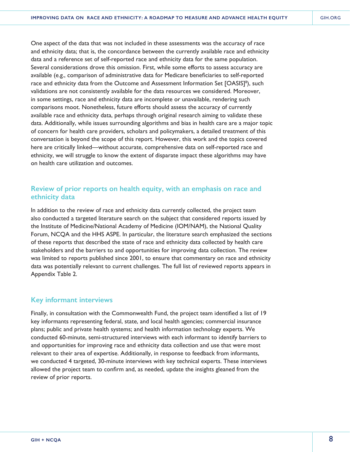One aspect of the data that was not included in these assessments was the accuracy of race and ethnicity data; that is, the concordance between the currently available race and ethnicity data and a reference set of self-reported race and ethnicity data for the same population. Several considerations drove this omission. First, while some efforts to assess accuracy are available (e.g., comparison of administrative data for Medicare beneficiaries to self-reported race and ethnicity data from the Outcome and Assessment Information Set [OASIS]<sup>8</sup>), such validations are not consistently available for the data resources we considered. Moreover, in some settings, race and ethnicity data are incomplete or unavailable, rendering such comparisons moot. Nonetheless, future efforts should assess the accuracy of currently available race and ethnicity data, perhaps through original research aiming to validate these data. Additionally, while issues surrounding algorithms and bias in health care are a major topic of concern for health care providers, scholars and policymakers, a detailed treatment of this conversation is beyond the scope of this report. However, this work and the topics covered here are critically linked—without accurate, comprehensive data on self-reported race and ethnicity, we will struggle to know the extent of disparate impact these algorithms may have on health care utilization and outcomes.

# **Review of prior reports on health equity, with an emphasis on race and ethnicity data**

In addition to the review of race and ethnicity data currently collected, the project team also conducted a targeted literature search on the subject that considered reports issued by the Institute of Medicine/National Academy of Medicine (IOM/NAM), the National Quality Forum, NCQA and the HHS ASPE. In particular, the literature search emphasized the sections of these reports that described the state of race and ethnicity data collected by health care stakeholders and the barriers to and opportunities for improving data collection. The review was limited to reports published since 2001, to ensure that commentary on race and ethnicity data was potentially relevant to current challenges. The full list of reviewed reports appears in Appendix Table 2.

### **Key informant interviews**

Finally, in consultation with the Commonwealth Fund, the project team identified a list of 19 key informants representing federal, state, and local health agencies; commercial insurance plans; public and private health systems; and health information technology experts. We conducted 60-minute, semi-structured interviews with each informant to identify barriers to and opportunities for improving race and ethnicity data collection and use that were most relevant to their area of expertise. Additionally, in response to feedback from informants, we conducted 4 targeted, 30-minute interviews with key technical experts. These interviews allowed the project team to confirm and, as needed, update the insights gleaned from the review of prior reports.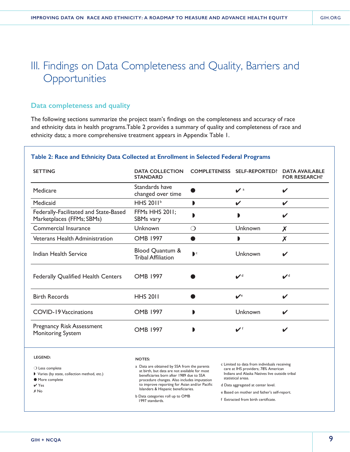# III. Findings on Data Completeness and Quality, Barriers and **Opportunities**

# **Data completeness and quality**

The following sections summarize the project team's findings on the completeness and accuracy of race and ethnicity data in health programs.Table 2 provides a summary of quality and completeness of race and ethnicity data; a more comprehensive treatment appears in Appendix Table 1.

#### **Table 2: Race and Ethnicity Data Collected at Enrollment in Selected Federal Programs**

| <b>SETTING</b>                                                     | <b>DATA COLLECTION</b><br><b>STANDARD</b>    |              | COMPLETENESS SELF-REPORTED? | <b>DATA AVAILABLE</b><br><b>FOR RESEARCH?</b> |
|--------------------------------------------------------------------|----------------------------------------------|--------------|-----------------------------|-----------------------------------------------|
| Medicare                                                           | Standards have<br>changed over time          |              | $\mathbf{v}$ <sup>a</sup>   | ✔                                             |
| Medicaid                                                           | HHS 2011 <sup>b</sup>                        | D            | V                           | V                                             |
| Federally-Facilitated and State-Based<br>Marketplaces (FFMs; SBMs) | FFMs HHS 2011;<br>SBMs vary                  |              |                             |                                               |
| Commercial Insurance                                               | Unknown                                      | ◯            | Unknown                     | X                                             |
| <b>Veterans Health Administration</b>                              | <b>OMB 1997</b>                              |              |                             | X                                             |
| <b>Indian Health Service</b>                                       | Blood Quantum &<br><b>Tribal Affiliation</b> | $\mathbf{C}$ | Unknown                     | ✔                                             |
| <b>Federally Qualified Health Centers</b>                          | <b>OMB 1997</b>                              |              | $\mathbf{V}^{\text{d}}$     | $\boldsymbol{\nu}^{\text{d}}$                 |
| <b>Birth Records</b>                                               | <b>HHS 2011</b>                              |              | $\mathbf{v}$ <sup>e</sup>   | ✔                                             |
| <b>COVID-19 Vaccinations</b>                                       | <b>OMB 1997</b>                              | D            | Unknown                     | ✔                                             |
| <b>Pregnancy Risk Assessment</b><br><b>Monitoring System</b>       | <b>OMB 1997</b>                              | ı            | $\mathbf{v}$ <sup>f</sup>   |                                               |

**LEGEND:**

❍ Less complete

- ◗ Varies (by state, collection method, etc.)
- More complete
- ✔ Yes

✗ No

#### **NOTES:**

- a Data are obtained by SSA from the parents at birth, but data are not available for most beneficiaries born after 1989 due to SSA procedure changes. Also includes imputation to improve reporting for Asian and/or Pacific Islanders & Hispanic beneficiaries.
- b Data categories roll up to OMB 1997 standards.
- c Limited to data from individuals receiving care at IHS providers; 78% American Indians and Alaska Natives live outside tribal statistical areas.
- d Data aggregated at center level.
- e Based on mother and father's self-report.
- f Extracted from birth certificate.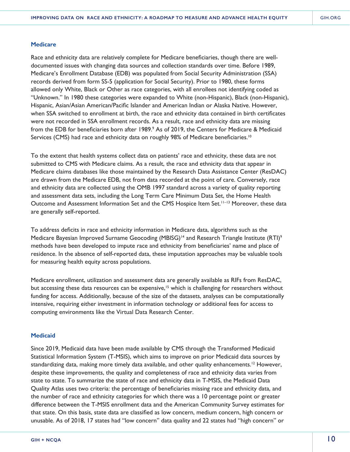#### **Medicare**

Race and ethnicity data are relatively complete for Medicare beneficiaries, though there are welldocumented issues with changing data sources and collection standards over time. Before 1989, Medicare's Enrollment Database (EDB) was populated from Social Security Administration (SSA) records derived from form SS-5 (application for Social Security). Prior to 1980, these forms allowed only White, Black or Other as race categories, with all enrollees not identifying coded as "Unknown." In 1980 these categories were expanded to White (non-Hispanic), Black (non-Hispanic), Hispanic, Asian/Asian American/Pacific Islander and American Indian or Alaska Native. However, when SSA switched to enrollment at birth, the race and ethnicity data contained in birth certificates were not recorded in SSA enrollment records. As a result, race and ethnicity data are missing from the EDB for beneficiaries born after 1989.<sup>9</sup> As of 2019, the Centers for Medicare & Medicaid Services (CMS) had race and ethnicity data on roughly 98% of Medicare beneficiaries.<sup>10</sup>

To the extent that health systems collect data on patients' race and ethnicity, these data are not submitted to CMS with Medicare claims. As a result, the race and ethnicity data that appear in Medicare claims databases like those maintained by the Research Data Assistance Center (ResDAC) are drawn from the Medicare EDB, not from data recorded at the point of care. Conversely, race and ethnicity data are collected using the OMB 1997 standard across a variety of quality reporting and assessment data sets, including the Long Term Care Minimum Data Set, the Home Health Outcome and Assessment Information Set and the CMS Hospice Item Set.<sup>11-13</sup> Moreover, these data are generally self-reported.

To address deficits in race and ethnicity information in Medicare data, algorithms such as the Medicare Bayesian Improved Surname Geocoding (MBISG)<sup>14</sup> and Research Triangle Institute (RTI)<sup>9</sup> methods have been developed to impute race and ethnicity from beneficiaries' name and place of residence. In the absence of self-reported data, these imputation approaches may be valuable tools for measuring health equity across populations.

Medicare enrollment, utilization and assessment data are generally available as RIFs from ResDAC, but accessing these data resources can be expensive,<sup>15</sup> which is challenging for researchers without funding for access. Additionally, because of the size of the datasets, analyses can be computationally intensive, requiring either investment in information technology or additional fees for access to computing environments like the Virtual Data Research Center.

#### **Medicaid**

Since 2019, Medicaid data have been made available by CMS through the Transformed Medicaid Statistical Information System (T-MSIS), which aims to improve on prior Medicaid data sources by standardizing data, making more timely data available, and other quality enhancements.<sup>12</sup> However, despite these improvements, the quality and completeness of race and ethnicity data varies from state to state. To summarize the state of race and ethnicity data in T-MSIS, the Medicaid Data Quality Atlas uses two criteria: the percentage of beneficiaries missing race and ethnicity data, and the number of race and ethnicity categories for which there was a 10 percentage point or greater difference between the T-MSIS enrollment data and the American Community Survey estimates for that state. On this basis, state data are classified as low concern, medium concern, high concern or unusable. As of 2018, 17 states had "low concern" data quality and 22 states had "high concern" or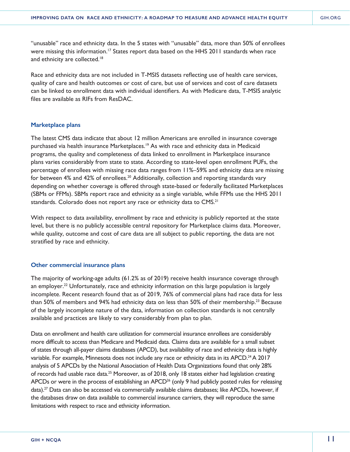"unusable" race and ethnicity data. In the 5 states with "unusable" data, more than 50% of enrollees were missing this information.<sup>17</sup> States report data based on the HHS 2011 standards when race and ethnicity are collected.<sup>18</sup>

Race and ethnicity data are not included in T-MSIS datasets reflecting use of health care services, quality of care and health outcomes or cost of care, but use of services and cost of care datasets can be linked to enrollment data with individual identifiers. As with Medicare data, T-MSIS analytic files are available as RIFs from ResDAC.

#### **Marketplace plans**

The latest CMS data indicate that about 12 million Americans are enrolled in insurance coverage purchased via health insurance Marketplaces.<sup>19</sup> As with race and ethnicity data in Medicaid programs, the quality and completeness of data linked to enrollment in Marketplace insurance plans varies considerably from state to state. According to state-level open enrollment PUFs, the percentage of enrollees with missing race data ranges from 11%–59% and ethnicity data are missing for between 4% and 42% of enrollees.<sup>20</sup> Additionally, collection and reporting standards vary depending on whether coverage is offered through state-based or federally facilitated Marketplaces (SBMs or FFMs). SBMs report race and ethnicity as a single variable, while FFMs use the HHS 2011 standards. Colorado does not report any race or ethnicity data to CMS.<sup>21</sup>

With respect to data availability, enrollment by race and ethnicity is publicly reported at the state level, but there is no publicly accessible central repository for Marketplace claims data. Moreover, while quality, outcome and cost of care data are all subject to public reporting, the data are not stratified by race and ethnicity.

#### **Other commercial insurance plans**

The majority of working-age adults (61.2% as of 2019) receive health insurance coverage through an employer.<sup>22</sup> Unfortunately, race and ethnicity information on this large population is largely incomplete. Recent research found that as of 2019, 76% of commercial plans had race data for less than 50% of members and 94% had ethnicity data on less than 50% of their membership.<sup>23</sup> Because of the largely incomplete nature of the data, information on collection standards is not centrally available and practices are likely to vary considerably from plan to plan.

Data on enrollment and health care utilization for commercial insurance enrollees are considerably more difficult to access than Medicare and Medicaid data. Claims data are available for a small subset of states through all-payer claims databases (APCD), but availability of race and ethnicity data is highly variable. For example, Minnesota does not include any race or ethnicity data in its APCD.<sup>24</sup> A 2017 analysis of 5 APCDs by the National Association of Health Data Organizations found that only 28% of records had usable race data.<sup>25</sup> Moreover, as of 2018, only 18 states either had legislation creating APCDs or were in the process of establishing an APCD<sup>26</sup> (only 9 had publicly posted rules for releasing data).<sup>27</sup> Data can also be accessed via commercially available claims databases; like APCDs, however, if the databases draw on data available to commercial insurance carriers, they will reproduce the same limitations with respect to race and ethnicity information.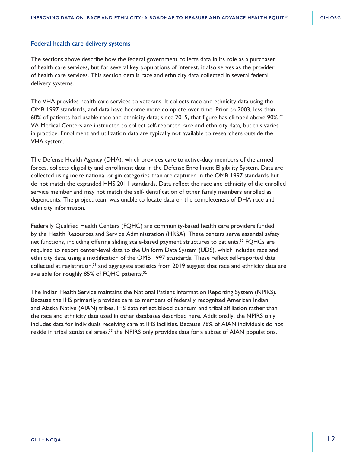#### **Federal health care delivery systems**

The sections above describe how the federal government collects data in its role as a purchaser of health care services, but for several key populations of interest, it also serves as the provider of health care services. This section details race and ethnicity data collected in several federal delivery systems.

The VHA provides health care services to veterans. It collects race and ethnicity data using the OMB 1997 standards, and data have become more complete over time. Prior to 2003, less than 60% of patients had usable race and ethnicity data; since 2015, that figure has climbed above 90%.<sup>29</sup> VA Medical Centers are instructed to collect self-reported race and ethnicity data, but this varies in practice. Enrollment and utilization data are typically not available to researchers outside the VHA system.

The Defense Health Agency (DHA), which provides care to active-duty members of the armed forces, collects eligibility and enrollment data in the Defense Enrollment Eligibility System. Data are collected using more national origin categories than are captured in the OMB 1997 standards but do not match the expanded HHS 2011 standards. Data reflect the race and ethnicity of the enrolled service member and may not match the self-identification of other family members enrolled as dependents. The project team was unable to locate data on the completeness of DHA race and ethnicity information.

Federally Qualified Health Centers (FQHC) are community-based health care providers funded by the Health Resources and Service Administration (HRSA). These centers serve essential safety net functions, including offering sliding scale-based payment structures to patients.<sup>30</sup> FQHCs are required to report center-level data to the Uniform Data System (UDS), which includes race and ethnicity data, using a modification of the OMB 1997 standards. These reflect self-reported data collected at registration, $31$  and aggregate statistics from 2019 suggest that race and ethnicity data are available for roughly 85% of FQHC patients.<sup>32</sup>

The Indian Health Service maintains the National Patient Information Reporting System (NPIRS). Because the IHS primarily provides care to members of federally recognized American Indian and Alaska Native (AIAN) tribes, IHS data reflect blood quantum and tribal affiliation rather than the race and ethnicity data used in other databases described here. Additionally, the NPIRS only includes data for individuals receiving care at IHS facilities. Because 78% of AIAN individuals do not reside in tribal statistical areas,<sup>33</sup> the NPIRS only provides data for a subset of AIAN populations.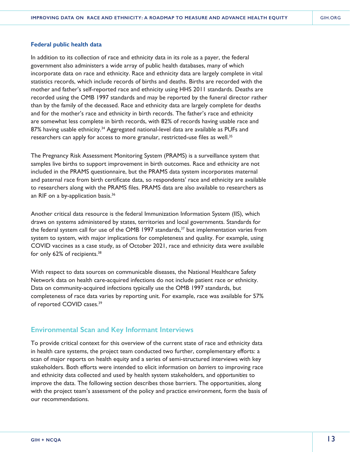#### **Federal public health data**

In addition to its collection of race and ethnicity data in its role as a payer, the federal government also administers a wide array of public health databases, many of which incorporate data on race and ethnicity. Race and ethnicity data are largely complete in vital statistics records, which include records of births and deaths. Births are recorded with the mother and father's self-reported race and ethnicity using HHS 2011 standards. Deaths are recorded using the OMB 1997 standards and may be reported by the funeral director rather than by the family of the deceased. Race and ethnicity data are largely complete for deaths and for the mother's race and ethnicity in birth records. The father's race and ethnicity are somewhat less complete in birth records, with 82% of records having usable race and 87% having usable ethnicity.<sup>34</sup> Aggregated national-level data are available as PUFs and researchers can apply for access to more granular, restricted-use files as well.<sup>35</sup>

The Pregnancy Risk Assessment Monitoring System (PRAMS) is a surveillance system that samples live births to support improvement in birth outcomes. Race and ethnicity are not included in the PRAMS questionnaire, but the PRAMS data system incorporates maternal and paternal race from birth certificate data, so respondents' race and ethnicity are available to researchers along with the PRAMS files. PRAMS data are also available to researchers as an RIF on a by-application basis.<sup>36</sup>

Another critical data resource is the federal Immunization Information System (IIS), which draws on systems administered by states, territories and local governments. Standards for the federal system call for use of the OMB 1997 standards, $37$  but implementation varies from system to system, with major implications for completeness and quality. For example, using COVID vaccines as a case study, as of October 2021, race and ethnicity data were available for only 62% of recipients.38

With respect to data sources on communicable diseases, the National Healthcare Safety Network data on health care-acquired infections do not include patient race or ethnicity. Data on community-acquired infections typically use the OMB 1997 standards, but completeness of race data varies by reporting unit. For example, race was available for 57% of reported COVID cases.39

# **Environmental Scan and Key Informant Interviews**

To provide critical context for this overview of the current state of race and ethnicity data in health care systems, the project team conducted two further, complementary efforts: a scan of major reports on health equity and a series of semi-structured interviews with key stakeholders. Both efforts were intended to elicit information on *barriers* to improving race and ethnicity data collected and used by health system stakeholders, and *opportunities* to improve the data. The following section describes those barriers. The opportunities, along with the project team's assessment of the policy and practice environment, form the basis of our recommendations.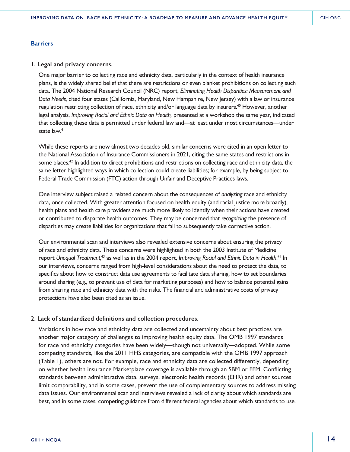#### **Barriers**

#### **1. Legal and privacy concerns.**

One major barrier to collecting race and ethnicity data, particularly in the context of health insurance plans, is the widely shared belief that there are restrictions or even blanket prohibitions on collecting such data. The 2004 National Research Council (NRC) report, *Eliminating Health Disparities: Measurement and Data Needs,* cited four states (California, Maryland, New Hampshire, New Jersey) with a law or insurance regulation restricting collection of race, ethnicity and/or language data by insurers.<sup>40</sup> However, another legal analysis, *Improving Racial and Ethnic Data on Health,* presented at a workshop the same year, indicated that collecting these data is permitted under federal law and—at least under most circumstances—under state law.<sup>41</sup>

While these reports are now almost two decades old, similar concerns were cited in an open letter to the National Association of Insurance Commissioners in 2021, citing the same states and restrictions in some places.<sup>42</sup> In addition to direct prohibitions and restrictions on collecting race and ethnicity data, the same letter highlighted ways in which collection could create liabilities; for example, by being subject to Federal Trade Commission (FTC) action through Unfair and Deceptive Practices laws.

One interview subject raised a related concern about the consequences of *analyzing* race and ethnicity data, once collected. With greater attention focused on health equity (and racial justice more broadly), health plans and health care providers are much more likely to identify when their actions have created or contributed to disparate health outcomes. They may be concerned that *recognizing* the presence of disparities may create liabilities for organizations that fail to subsequently take corrective action.

Our environmental scan and interviews also revealed extensive concerns about ensuring the privacy of race and ethnicity data. These concerns were highlighted in both the 2003 Institute of Medicine report *Unequal Treatment,*<sup>43</sup> as well as in the 2004 report, *Improving Racial and Ethnic Data in Health*. 41 In our interviews, concerns ranged from high-level considerations about the need to protect the data, to specifics about how to construct data use agreements to facilitate data sharing, how to set boundaries around sharing (e.g., to prevent use of data for marketing purposes) and how to balance potential gains from sharing race and ethnicity data with the risks. The financial and administrative costs of privacy protections have also been cited as an issue.

### **2. Lack of standardized definitions and collection procedures.**

Variations in how race and ethnicity data are collected and uncertainty about best practices are another major category of challenges to improving health equity data. The OMB 1997 standards for race and ethnicity categories have been widely—though not universally—adopted. While some competing standards, like the 2011 HHS categories, are compatible with the OMB 1997 approach (Table 1), others are not. For example, race and ethnicity data are collected differently, depending on whether health insurance Marketplace coverage is available through an SBM or FFM. Conflicting standards between administrative data, surveys, electronic health records (EHR) and other sources limit comparability, and in some cases, prevent the use of complementary sources to address missing data issues. Our environmental scan and interviews revealed a lack of clarity about which standards are best, and in some cases, competing guidance from different federal agencies about which standards to use.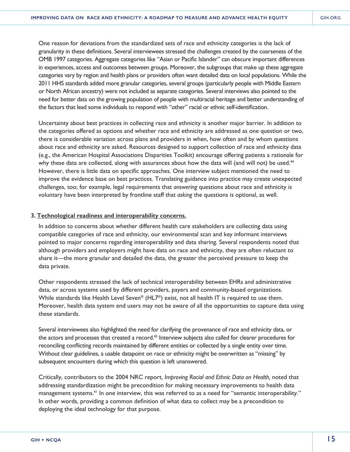One reason for deviations from the standardized sets of race and ethnicity categories is the lack of granularity in these definitions. Several interviewees stressed the challenges created by the coarseness of the OMB 1997 categories. Aggregate categories like "Asian or Pacific Islander" can obscure important differences in experiences, access and outcomes between groups. Moreover, the subgroups that make up these aggregate categories vary by region and health plans or providers often want detailed data on local populations. While the 2011 HHS standards added more granular categories, several groups (particularly people with Middle Eastern or North African ancestry) were not included as separate categories. Several interviews also pointed to the need for better data on the growing population of people with multiracial heritage and better understanding of the factors that lead some individuals to respond with "other" racial or ethnic self-identification.

Uncertainty about best practices in collecting race and ethnicity is another major barrier. In addition to the categories offered as options and whether race and ethnicity are addressed as one question or two, there is considerable variation across plans and providers in when, how often and by whom questions about race and ethnicity are asked. Resources designed to support collection of race and ethnicity data (e.g., the American Hospital Associations Disparities Toolkit) encourage offering patients a rationale for why these data are collected, along with assurances about how the data will (and will not) be used.<sup>44</sup> However, there is little data on specific approaches. One interview subject mentioned the need to improve the evidence base on best practices. Translating guidance into practice may create unexpected challenges, too; for example, legal requirements that *answering* questions about race and ethnicity is voluntary have been interpreted by frontline staff that *asking* the questions is optional, as well.

#### **3. Technological readiness and interoperability concerns.**

In addition to concerns about whether different health care stakeholders are collecting data using compatible categories of race and ethnicity, our environmental scan and key informant interviews pointed to major concerns regarding interoperability and data sharing. Several respondents noted that although providers and employers might have data on race and ethnicity, they are often reluctant to share it—the more granular and detailed the data, the greater the perceived pressure to keep the data private.

Other respondents stressed the lack of technical interoperability between EHRs and administrative data, or across systems used by different providers, payers and community-based organizations. While standards like Health Level Seven® (HL7®) exist, not all health IT is required to use them. Moreover, health data system end users may not be aware of all the opportunities to capture data using these standards.

Several interviewees also highlighted the need for clarifying the provenance of race and ethnicity data, or the actors and processes that created a record.<sup>45</sup> Interview subjects also called for clearer procedures for reconciling conflicting records maintained by different entities or collected by a single entity over time. Without clear guidelines, a usable datapoint on race or ethnicity might be overwritten as "missing" by subsequent encounters during which this question is left unanswered.

Critically, contributors to the 2004 NRC report, *Improving Racial and Ethnic Data on Health,* noted that addressing standardization might be precondition for making necessary improvements to health data management systems.<sup>41</sup> In one interview, this was referred to as a need for "semantic interoperability." In other words, providing a common definition of what data to collect may be a precondition to deploying the ideal technology for that purpose.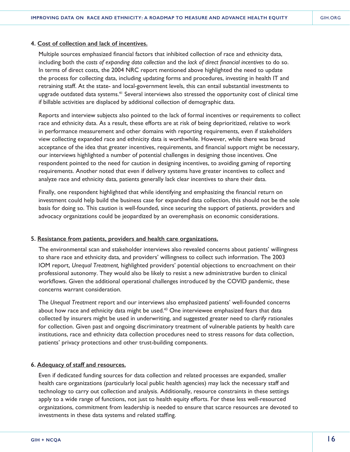### **4. Cost of collection and lack of incentives.**

Multiple sources emphasized financial factors that inhibited collection of race and ethnicity data, including both the *costs of expanding data collection* and the *lack of direct financial incentives* to do so. In terms of direct costs, the 2004 NRC report mentioned above highlighted the need to update the process for collecting data, including updating forms and procedures, investing in health IT and retraining staff. At the state- and local-government levels, this can entail substantial investments to upgrade outdated data systems.<sup>41</sup> Several interviews also stressed the opportunity cost of clinical time if billable activities are displaced by additional collection of demographic data.

Reports and interview subjects also pointed to the lack of formal incentives or requirements to collect race and ethnicity data. As a result, these efforts are at risk of being deprioritized, relative to work in performance measurement and other domains with reporting requirements, even if stakeholders view collecting expanded race and ethnicity data is worthwhile. However, while there was broad acceptance of the idea that greater incentives, requirements, and financial support might be necessary, our interviews highlighted a number of potential challenges in designing those incentives. One respondent pointed to the need for caution in designing incentives, to avoiding gaming of reporting requirements. Another noted that even if delivery systems have greater incentives to collect and analyze race and ethnicity data, patients generally lack clear incentives to share their data.

Finally, one respondent highlighted that while identifying and emphasizing the financial return on investment could help build the business case for expanded data collection, this should not be the sole basis for doing so. This caution is well-founded, since securing the support of patients, providers and advocacy organizations could be jeopardized by an overemphasis on economic considerations.

#### **5. Resistance from patients, providers and health care organizations.**

The environmental scan and stakeholder interviews also revealed concerns about patients' willingness to share race and ethnicity data, and providers' willingness to collect such information. The 2003 IOM report, *Unequal Treatment,* highlighted providers' potential objections to encroachment on their professional autonomy. They would also be likely to resist a new administrative burden to clinical workflows. Given the additional operational challenges introduced by the COVID pandemic, these concerns warrant consideration.

The *Unequal Treatment* report and our interviews also emphasized patients' well-founded concerns about how race and ethnicity data might be used.<sup>43</sup> One interviewee emphasized fears that data collected by insurers might be used in underwriting, and suggested greater need to clarify rationales for collection. Given past and ongoing discriminatory treatment of vulnerable patients by health care institutions, race and ethnicity data collection procedures need to stress reasons for data collection, patients' privacy protections and other trust-building components.

### **6. Adequacy of staff and resources.**

Even if dedicated funding sources for data collection and related processes are expanded, smaller health care organizations (particularly local public health agencies) may lack the necessary staff and technology to carry out collection and analysis. Additionally, resource constraints in these settings apply to a wide range of functions, not just to health equity efforts. For these less well-resourced organizations, commitment from leadership is needed to ensure that scarce resources are devoted to investments in these data systems and related staffing.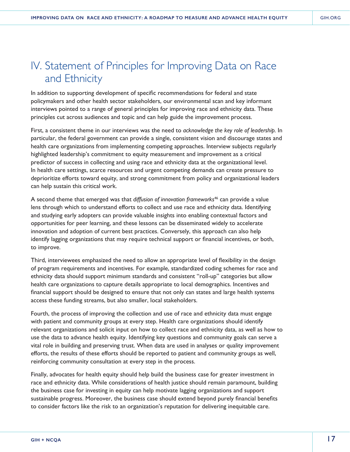# IV. Statement of Principles for Improving Data on Race and Ethnicity

In addition to supporting development of specific recommendations for federal and state policymakers and other health sector stakeholders, our environmental scan and key informant interviews pointed to a range of general principles for improving race and ethnicity data. These principles cut across audiences and topic and can help guide the improvement process.

First, a consistent theme in our interviews was the need to *acknowledge the key role of leadership.* In particular, the federal government can provide a single, consistent vision and discourage states and health care organizations from implementing competing approaches. Interview subjects regularly highlighted leadership's commitment to equity measurement and improvement as a critical predictor of success in collecting and using race and ethnicity data at the organizational level. In health care settings, scarce resources and urgent competing demands can create pressure to deprioritize efforts toward equity, and strong commitment from policy and organizational leaders can help sustain this critical work.

A second theme that emerged was that *diffusion of innovation frameworks*46 can provide a value lens through which to understand efforts to collect and use race and ethnicity data. Identifying and studying early adopters can provide valuable insights into enabling contextual factors and opportunities for peer learning, and these lessons can be disseminated widely to accelerate innovation and adoption of current best practices. Conversely, this approach can also help identify lagging organizations that may require technical support or financial incentives, or both, to improve.

Third, interviewees emphasized the need to allow an appropriate level of flexibility in the design of program requirements and incentives. For example, standardized coding schemes for race and ethnicity data should support minimum standards and consistent "roll-up" categories but allow health care organizations to capture details appropriate to local demographics. Incentives and financial support should be designed to ensure that not only can states and large health systems access these funding streams, but also smaller, local stakeholders.

Fourth, the process of improving the collection and use of race and ethnicity data must engage with patient and community groups at every step. Health care organizations should identify relevant organizations and solicit input on how to collect race and ethnicity data, as well as how to use the data to advance health equity. Identifying key questions and community goals can serve a vital role in building and preserving trust. When data are used in analyses or quality improvement efforts, the results of these efforts should be reported to patient and community groups as well, reinforcing community consultation at every step in the process.

Finally, advocates for health equity should help build the business case for greater investment in race and ethnicity data. While considerations of health justice should remain paramount, building the business case for investing in equity can help motivate lagging organizations and support sustainable progress. Moreover, the business case should extend beyond purely financial benefits to consider factors like the risk to an organization's reputation for delivering inequitable care.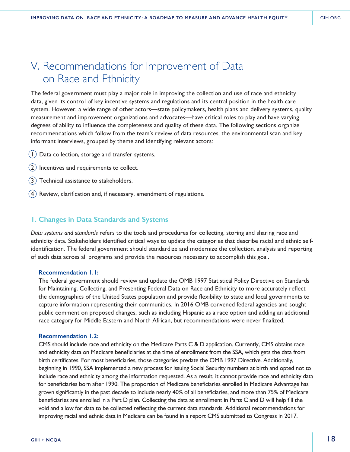# V. Recommendations for Improvement of Data on Race and Ethnicity

The federal government must play a major role in improving the collection and use of race and ethnicity data, given its control of key incentive systems and regulations and its central position in the health care system. However, a wide range of other actors—state policymakers, health plans and delivery systems, quality measurement and improvement organizations and advocates—have critical roles to play and have varying degrees of ability to influence the completeness and quality of these data. The following sections organize recommendations which follow from the team's review of data resources, the environmental scan and key informant interviews, grouped by theme and identifying relevant actors:

- 1Data collection, storage and transfer systems.
- 2Incentives and requirements to collect.
- 3Technical assistance to stakeholders.
- 4Review, clarification and, if necessary, amendment of regulations.

### **1. Changes in Data Standards and Systems**

*Data systems and standards* refers to the tools and procedures for collecting, storing and sharing race and ethnicity data. Stakeholders identified critical ways to update the categories that describe racial and ethnic selfidentification. The federal government should standardize and modernize the collection, analysis and reporting of such data across all programs and provide the resources necessary to accomplish this goal.

#### **Recommendation 1.1:**

The federal government should review and update the OMB 1997 Statistical Policy Directive on Standards for Maintaining, Collecting, and Presenting Federal Data on Race and Ethnicity to more accurately reflect the demographics of the United States population and provide flexibility to state and local governments to capture information representing their communities. In 2016 OMB convened federal agencies and sought public comment on proposed changes, such as including Hispanic as a race option and adding an additional race category for Middle Eastern and North African, but recommendations were never finalized.

#### **Recommendation 1.2:**

CMS should include race and ethnicity on the Medicare Parts C & D application. Currently, CMS obtains race and ethnicity data on Medicare beneficiaries at the time of enrollment from the SSA, which gets the data from birth certificates. For most beneficiaries, those categories predate the OMB 1997 Directive. Additionally, beginning in 1990, SSA implemented a new process for issuing Social Security numbers at birth and opted not to include race and ethnicity among the information requested. As a result, it cannot provide race and ethnicity data for beneficiaries born after 1990. The proportion of Medicare beneficiaries enrolled in Medicare Advantage has grown significantly in the past decade to include nearly 40% of all beneficiaries, and more than 75% of Medicare beneficiaries are enrolled in a Part D plan. Collecting the data at enrollment in Parts C and D will help fill the void and allow for data to be collected reflecting the current data standards. Additional recommendations for improving racial and ethnic data in Medicare can be found in a report CMS submitted to Congress in 2017.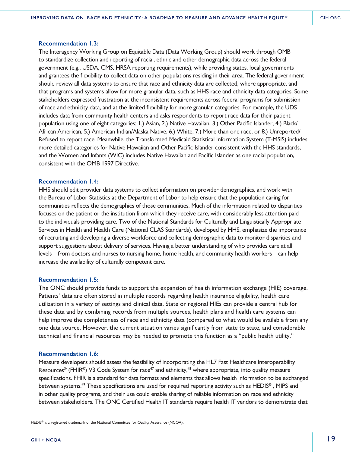#### **Recommendation 1.3:**

The Interagency Working Group on Equitable Data (Data Working Group) should work through OMB to standardize collection and reporting of racial, ethnic and other demographic data across the federal government (e.g., USDA, CMS, HRSA reporting requirements), while providing states, local governments and grantees the flexibility to collect data on other populations residing in their area. The federal government should review all data systems to ensure that race and ethnicity data are collected, where appropriate, and that programs and systems allow for more granular data, such as HHS race and ethnicity data categories. Some stakeholders expressed frustration at the inconsistent requirements across federal programs for submission of race and ethnicity data, and at the limited flexibility for more granular categories. For example, the UDS includes data from community health centers and asks respondents to report race data for their patient population using one of eight categories: 1.) Asian, 2.) Native Hawaiian, 3.) Other Pacific Islander, 4.) Black/ African American, 5.) American Indian/Alaska Native, 6.) White, 7.) More than one race, or 8.) Unreported/ Refused to report race. Meanwhile, the Transformed Medicaid Statistical Information System (T-MSIS) includes more detailed categories for Native Hawaiian and Other Pacific Islander consistent with the HHS standards, and the Women and Infants (WIC) includes Native Hawaiian and Pacific Islander as one racial population, consistent with the OMB 1997 Directive.

#### **Recommendation 1.4:**

HHS should edit provider data systems to collect information on provider demographics, and work with the Bureau of Labor Statistics at the Department of Labor to help ensure that the population caring for communities reflects the demographics of those communities. Much of the information related to disparities focuses on the patient or the institution from which they receive care, with considerably less attention paid to the individuals providing care. Two of the National Standards for Culturally and Linguistically Appropriate Services in Health and Health Care (National CLAS Standards), developed by HHS, emphasize the importance of recruiting and developing a diverse workforce and collecting demographic data to monitor disparities and support suggestions about delivery of services. Having a better understanding of who provides care at all levels—from doctors and nurses to nursing home, home health, and community health workers—can help increase the availability of culturally competent care.

#### **Recommendation 1.5:**

The ONC should provide funds to support the expansion of health information exchange (HIE) coverage. Patients' data are often stored in multiple records regarding health insurance eligibility, health care utilization in a variety of settings and clinical data. State or regional HIEs can provide a central hub for these data and by combining records from multiple sources, health plans and health care systems can help improve the completeness of race and ethnicity data (compared to what would be available from any one data source. However, the current situation varies significantly from state to state, and considerable technical and financial resources may be needed to promote this function as a "public health utility."

#### **Recommendation 1.6:**

Measure developers should assess the feasibility of incorporating the HL7 Fast Healthcare Interoperability Resources<sup>®</sup> (FHIR<sup>®</sup>) V3 Code System for race<sup>47</sup> and ethnicity,<sup>48</sup> where appropriate, into quality measure specifications. FHIR is a standard for data formats and elements that allows health information to be exchanged between systems.49 These specifications are used for required reporting activity such as HEDIS® , MIPS and in other quality programs, and their use could enable sharing of reliable information on race and ethnicity between stakeholders. The ONC Certified Health IT standards require health IT vendors to demonstrate that

HEDIS® is a registered trademark of the National Committee for Quality Assurance (NCQA).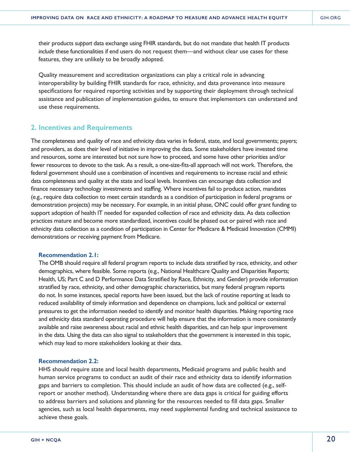their products *support* data exchange using FHIR standards, but do not mandate that health IT products *include* these functionalities if end users do not request them—and without clear use cases for these features, they are unlikely to be broadly adopted.

Quality measurement and accreditation organizations can play a critical role in advancing interoperability by building FHIR standards for race, ethnicity, and data provenance into measure specifications for required reporting activities and by supporting their deployment through technical assistance and publication of implementation guides, to ensure that implementors can understand and use these requirements.

# **2. Incentives and Requirements**

The completeness and quality of race and ethnicity data varies in federal, state, and local governments; payers; and providers, as does their level of initiative in improving the data. Some stakeholders have invested time and resources, some are interested but not sure how to proceed, and some have other priorities and/or fewer resources to devote to the task. As a result, a one-size-fits-all approach will not work. Therefore, the federal government should use a combination of incentives and requirements to increase racial and ethnic data completeness and quality at the state and local levels. Incentives can encourage data collection and finance necessary technology investments and staffing. Where incentives fail to produce action, mandates (e.g., require data collection to meet certain standards as a condition of participation in federal programs or demonstration projects) may be necessary. For example, in an initial phase, ONC could offer grant funding to support adoption of health IT needed for expanded collection of race and ethnicity data. As data collection practices mature and become more standardized, incentives could be phased out or paired with race and ethnicity data collection as a condition of participation in Center for Medicare & Medicaid Innovation (CMMI) demonstrations or receiving payment from Medicare.

#### **Recommendation 2.1:**

The OMB should require all federal program reports to include data stratified by race, ethnicity, and other demographics, where feasible. Some reports (e.g., National Healthcare Quality and Disparities Reports; Health, US; Part C and D Performance Data Stratified by Race, Ethnicity, and Gender) provide information stratified by race, ethnicity, and other demographic characteristics, but many federal program reports do not. In some instances, special reports have been issued, but the lack of routine reporting at leads to reduced availability of timely information and dependence on champions, luck and political or external pressures to get the information needed to identify and monitor health disparities. Making reporting race and ethnicity data standard operating procedure will help ensure that the information is more consistently available and raise awareness about racial and ethnic health disparities, and can help spur improvement in the data. Using the data can also signal to stakeholders that the government is interested in this topic, which may lead to more stakeholders looking at their data.

#### **Recommendation 2.2:**

HHS should require state and local health departments, Medicaid programs and public health and human service programs to conduct an audit of their race and ethnicity data to identify information gaps and barriers to completion. This should include an audit of how data are collected (e.g., selfreport or another method). Understanding where there are data gaps is critical for guiding efforts to address barriers and solutions and planning for the resources needed to fill data gaps. Smaller agencies, such as local health departments, may need supplemental funding and technical assistance to achieve these goals.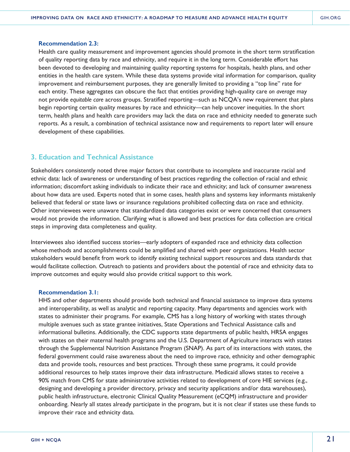#### **Recommendation 2.3:**

Health care quality measurement and improvement agencies should promote in the short term stratification of quality reporting data by race and ethnicity, and require it in the long term. Considerable effort has been devoted to developing and maintaining quality reporting systems for hospitals, health plans, and other entities in the health care system. While these data systems provide vital information for comparison, quality improvement and reimbursement purposes, they are generally limited to providing a "top line" rate for each entity. These aggregates can obscure the fact that entities providing high-quality care *on average* may not provide *equitable care* across groups. Stratified reporting—such as NCQA's new requirement that plans begin reporting certain quality measures by race and ethnicity—can help uncover inequities. In the short term, health plans and health care providers may lack the data on race and ethnicity needed to generate such reports. As a result, a combination of technical assistance now and requirements to report later will ensure development of these capabilities.

# **3. Education and Technical Assistance**

Stakeholders consistently noted three major factors that contribute to incomplete and inaccurate racial and ethnic data: lack of awareness or understanding of best practices regarding the collection of racial and ethnic information; discomfort asking individuals to indicate their race and ethnicity; and lack of consumer awareness about how data are used. Experts noted that in some cases, health plans and systems key informants mistakenly believed that federal or state laws or insurance regulations prohibited collecting data on race and ethnicity. Other interviewees were unaware that standardized data categories exist or were concerned that consumers would not provide the information. Clarifying what is allowed and best practices for data collection are critical steps in improving data completeness and quality.

Interviewees also identified success stories—early adopters of expanded race and ethnicity data collection whose methods and accomplishments could be amplified and shared with peer organizations. Health sector stakeholders would benefit from work to identify existing technical support resources and data standards that would facilitate collection. Outreach to patients and providers about the potential of race and ethnicity data to improve outcomes and equity would also provide critical support to this work.

#### **Recommendation 3.1:**

HHS and other departments should provide both technical and financial assistance to improve data systems and interoperability, as well as analytic and reporting capacity. Many departments and agencies work with states to administer their programs. For example, CMS has a long history of working with states through multiple avenues such as state grantee initiatives, State Operations and Technical Assistance calls and informational bulletins. Additionally, the CDC supports state departments of public health, HRSA engages with states on their maternal health programs and the U.S. Department of Agriculture interacts with states through the Supplemental Nutrition Assistance Program (SNAP). As part of its interactions with states, the federal government could raise awareness about the need to improve race, ethnicity and other demographic data and provide tools, resources and best practices. Through these same programs, it could provide additional resources to help states improve their data infrastructure. Medicaid allows states to receive a 90% match from CMS for state administrative activities related to development of core HIE services (e.g., designing and developing a provider directory, privacy and security applications and/or data warehouses), public health infrastructure, electronic Clinical Quality Measurement (eCQM) infrastructure and provider onboarding. Nearly all states already participate in the program, but it is not clear if states use these funds to improve their race and ethnicity data.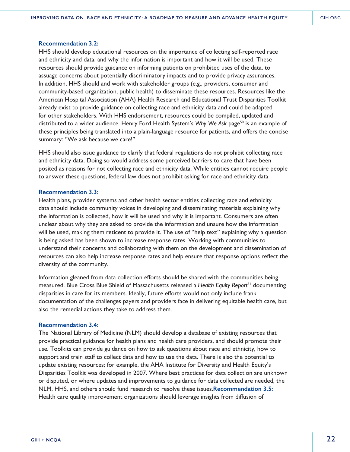#### **Recommendation 3.2:**

HHS should develop educational resources on the importance of collecting self-reported race and ethnicity and data, and why the information is important and how it will be used. These resources should provide guidance on informing patients on prohibited uses of the data, to assuage concerns about potentially discriminatory impacts and to provide privacy assurances. In addition, HHS should and work with stakeholder groups (e.g., providers, consumer and community-based organization, public health) to disseminate these resources. Resources like the American Hospital Association (AHA) Health Research and Educational Trust Disparities Toolkit already exist to provide guidance on collecting race and ethnicity data and could be adapted for other stakeholders. With HHS endorsement, resources could be compiled, updated and distributed to a wider audience. Henry Ford Health System's *Why We Ask page<sup>50</sup>* is an example of these principles being translated into a plain-language resource for patients, and offers the concise summary: "We ask because we care!"

HHS should also issue guidance to clarify that federal regulations do not prohibit collecting race and ethnicity data. Doing so would address some perceived barriers to care that have been posited as reasons for not collecting race and ethnicity data. While entities cannot require people to answer these questions, federal law does not prohibit asking for race and ethnicity data.

#### **Recommendation 3.3:**

Health plans, provider systems and other health sector entities collecting race and ethnicity data should include community voices in developing and disseminating materials explaining why the information is collected, how it will be used and why it is important. Consumers are often unclear about why they are asked to provide the information and unsure how the information will be used, making them reticent to provide it. The use of "help text" explaining why a question is being asked has been shown to increase response rates. Working with communities to understand their concerns and collaborating with them on the development and dissemination of resources can also help increase response rates and help ensure that response options reflect the diversity of the community.

Information gleaned from data collection efforts should be shared with the communities being measured. Blue Cross Blue Shield of Massachusetts released a *Health Equity Report*51 documenting disparities in care for its members. Ideally, future efforts would not only include frank documentation of the challenges payers and providers face in delivering equitable health care, but also the remedial actions they take to address them.

#### **Recommendation 3.4:**

The National Library of Medicine (NLM) should develop a database of existing resources that provide practical guidance for health plans and health care providers, and should promote their use. Toolkits can provide guidance on how to ask questions about race and ethnicity, how to support and train staff to collect data and how to use the data. There is also the potential to update existing resources; for example, the AHA Institute for Diversity and Health Equity's Disparities Toolkit was developed in 2007. Where best practices for data collection are unknown or disputed, or where updates and improvements to guidance for data collected are needed, the NLM, HHS, and others should fund research to resolve these issues.**Recommendation 3.5:**  Health care quality improvement organizations should leverage insights from diffusion of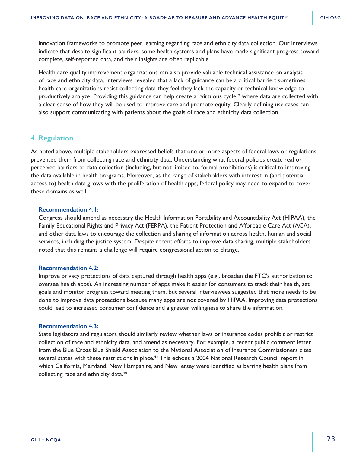innovation frameworks to promote peer learning regarding race and ethnicity data collection. Our interviews indicate that despite significant barriers, some health systems and plans have made significant progress toward complete, self-reported data, and their insights are often replicable.

Health care quality improvement organizations can also provide valuable technical assistance on analysis of race and ethnicity data. Interviews revealed that a lack of guidance can be a critical barrier: sometimes health care organizations resist collecting data they feel they lack the capacity or technical knowledge to productively analyze. Providing this guidance can help create a "virtuous cycle," where data are collected with a clear sense of how they will be used to improve care and promote equity. Clearly defining use cases can also support communicating with patients about the goals of race and ethnicity data collection.

# **4. Regulation**

As noted above, multiple stakeholders expressed beliefs that one or more aspects of federal laws or regulations prevented them from collecting race and ethnicity data. Understanding what federal policies create real or perceived barriers to data collection (including, but not limited to, formal prohibitions) is critical to improving the data available in health programs. Moreover, as the range of stakeholders with interest in (and potential access to) health data grows with the proliferation of health apps, federal policy may need to expand to cover these domains as well.

#### **Recommendation 4.1:**

Congress should amend as necessary the Health Information Portability and Accountability Act (HIPAA), the Family Educational Rights and Privacy Act (FERPA), the Patient Protection and Affordable Care Act (ACA), and other data laws to encourage the collection and sharing of information across health, human and social services, including the justice system. Despite recent efforts to improve data sharing, multiple stakeholders noted that this remains a challenge will require congressional action to change.

#### **Recommendation 4.2:**

Improve privacy protections of data captured through health apps (e.g., broaden the FTC's authorization to oversee health apps). An increasing number of apps make it easier for consumers to track their health, set goals and monitor progress toward meeting them, but several interviewees suggested that more needs to be done to improve data protections because many apps are not covered by HIPAA. Improving data protections could lead to increased consumer confidence and a greater willingness to share the information.

#### **Recommendation 4.3:**

State legislators and regulators should similarly review whether laws or insurance codes prohibit or restrict collection of race and ethnicity data, and amend as necessary. For example, a recent public comment letter from the Blue Cross Blue Shield Association to the National Association of Insurance Commissioners cites several states with these restrictions in place.<sup>42</sup> This echoes a 2004 National Research Council report in which California, Maryland, New Hampshire, and New Jersey were identified as barring health plans from collecting race and ethnicity data.<sup>40</sup>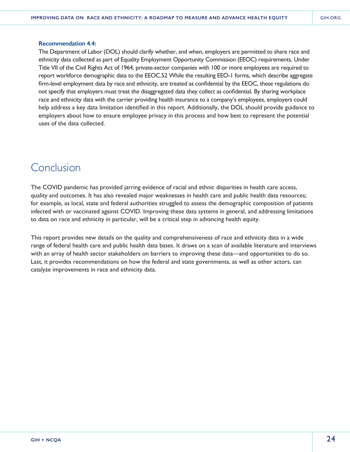#### **Recommendation 4.4:**

The Department of Labor (DOL) should clarify whether, and when, employers are permitted to share race and ethnicity data collected as part of Equality Employment Opportunity Commission (EEOC) requirements. Under Title VII of the Civil Rights Act of 1964, private-sector companies with 100 or more employees are required to report workforce demographic data to the EEOC.52 While the resulting EEO-1 forms, which describe aggregate firm-level employment data by race and ethnicity, are treated as confidential by the EEOC, these regulations do not specify that employers must treat the disaggregated data they collect as confidential. By sharing workplace race and ethnicity data with the carrier providing health insurance to a company's employees, employers could help address a key data limitation identified in this report. Additionally, the DOL should provide guidance to employers about how to ensure employee privacy in this process and how best to represent the potential uses of the data collected.

# Conclusion

The COVID pandemic has provided jarring evidence of racial and ethnic disparities in health care access, quality and outcomes. It has also revealed major weaknesses in health care and public health data resources; for example, as local, state and federal authorities struggled to assess the demographic composition of patients infected with or vaccinated against COVID. Improving these data systems in general, and addressing limitations to data on race and ethnicity in particular, will be a critical step in advancing health equity.

This report provides new details on the quality and comprehensiveness of race and ethnicity data in a wide range of federal health care and public health data bases. It draws on a scan of available literature and interviews with an array of health sector stakeholders on barriers to improving these data—and opportunities to do so. Last, it provides recommendations on how the federal and state governments, as well as other actors, can catalyze improvements in race and ethnicity data.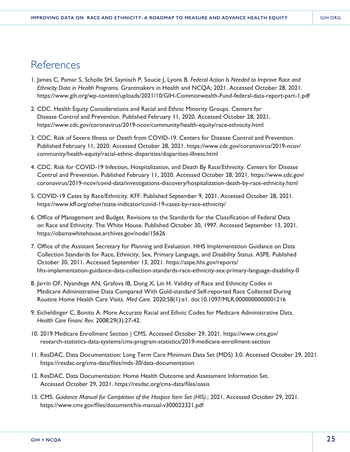# **References**

- 1. James C, Pamar S, Scholle SH, Saynisch P, Soucie J, Lyons B. *Federal Action Is Needed to Improve Race and Ethnicity Data in Health Programs.* Grantmakers in Health and NCQA; 2021. Accessed October 28, 2021. https://www.gih.org/wp-content/uploads/2021/10/GIH-Commonwealth-Fund-federal-data-report-part-1.pdf
- 2. CDC. Health Equity Considerations and Racial and Ethnic Minority Groups. Centers for Disease Control and Prevention. Published February 11, 2020. Accessed October 28, 2021. https://www.cdc.gov/coronavirus/2019-ncov/community/health-equity/race-ethnicity.html
- 3. CDC. Risk of Severe Illness or Death from COVID-19. Centers for Disease Control and Prevention. Published February 11, 2020. Accessed October 28, 2021. https://www.cdc.gov/coronavirus/2019-ncov/ community/health-equity/racial-ethnic-disparities/disparities-illness.html
- 4. CDC. Risk for COVID-19 Infection, Hospitalization, and Death By Race/Ethnicity. Centers for Disease Control and Prevention. Published February 11, 2020. Accessed October 28, 2021. https://www.cdc.gov/ coronavirus/2019-ncov/covid-data/investigations-discovery/hospitalization-death-by-race-ethnicity.html
- 5. COVID-19 Cases by Race/Ethnicity. KFF. Published September 9, 2021. Accessed October 28, 2021. https://www.kff.org/other/state-indicator/covid-19-cases-by-race-ethnicity/
- 6. Office of Management and Budget. Revisions to the Standards for the Classification of Federal Data on Race and Ethnicity. The White House. Published October 30, 1997. Accessed September 13, 2021. https://obamawhitehouse.archives.gov/node/15626
- 7. Office of the Assistant Secretary for Planning and Evaluation. HHS Implementation Guidance on Data Collection Standards for Race, Ethnicity, Sex, Primary Language, and Disability Status. ASPE. Published October 30, 2011. Accessed September 13, 2021. https://aspe.hhs.gov/reports/ hhs-implementation-guidance-data-collection-standards-race-ethnicity-sex-primary-language-disability-0
- 8. Jarrín OF, Nyandege AN, Grafova IB, Dong X, Lin H. Validity of Race and Ethnicity Codes in Medicare Administrative Data Compared With Gold-standard Self-reported Race Collected During Routine Home Health Care Visits. *Med Care.* 2020;58(1):e1. doi:10.1097/MLR.0000000000001216
- 9. Eicheldinger C, Bonito A. More Accurate Racial and Ethnic Codes for Medicare Administrative Data. *Health Care Financ Rev.* 2008;29(3):27-42.
- 10. 2019 Medicare Enrollment Section | CMS. Accessed October 29, 2021. https://www.cms.gov/ research-statistics-data-systems/cms-program-statistics/2019-medicare-enrollment-section
- 11. ResDAC. Data Documentation: Long Term Care Minimum Data Set (MDS) 3.0. Accessed October 29, 2021. https://resdac.org/cms-data/files/mds-30/data-documentation
- 12. ResDAC. Data Documentation: Home Health Outcome and Assessment Information Set. Accessed October 29, 2021. https://resdac.org/cms-data/files/oasis
- 13. CMS. *Guidance Manual for Completion of the Hospice Item Set (HIS)*.; 2021. Accessed October 29, 2021. https://www.cms.gov/files/document/his-manual-v300022321.pdf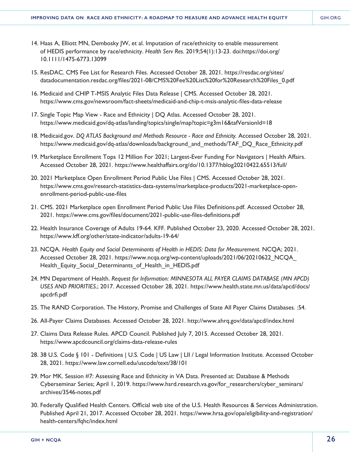- 14. Haas A, Elliott MN, Dembosky JW, et al. Imputation of race/ethnicity to enable measurement of HEDIS performance by race/ethnicity. *Health Serv Res.* 2019;54(1):13-23. doi:https://doi.org/ 10.1111/1475-6773.13099
- 15. ResDAC. CMS Fee List for Research Files. Accessed October 28, 2021. https://resdac.org/sites/ datadocumentation.resdac.org/files/2021-08/CMS%20Fee%20List%20for%20Research%20Files\_0.pdf
- 16. Medicaid and CHIP T-MSIS Analytic Files Data Release | CMS. Accessed October 28, 2021. https://www.cms.gov/newsroom/fact-sheets/medicaid-and-chip-t-msis-analytic-files-data-release
- 17. Single Topic Map View Race and Ethnicity | DQ Atlas. Accessed October 28, 2021. https://www.medicaid.gov/dq-atlas/landing/topics/single/map?topic=g3m16&tafVersionId=18
- 18. Medicaid.gov. *DQ ATLAS Background and Methods Resource Race and Ethnicity.* Accessed October 28, 2021. https://www.medicaid.gov/dq-atlas/downloads/background\_and\_methods/TAF\_DQ\_Race\_Ethnicity.pdf
- 19. Marketplace Enrollment Tops 12 Million For 2021; Largest-Ever Funding For Navigators | Health Affairs. Accessed October 28, 2021. https://www.healthaffairs.org/do/10.1377/hblog20210422.65513/full/
- 20. 2021 Marketplace Open Enrollment Period Public Use Files | CMS. Accessed October 28, 2021. https://www.cms.gov/research-statistics-data-systems/marketplace-products/2021-marketplace-openenrollment-period-public-use-files
- 21. CMS. 2021 Marketplace open Enrollment Period Public Use Files Definitions.pdf. Accessed October 28, 2021. https://www.cms.gov/files/document/2021-public-use-files-definitions.pdf
- 22. Health Insurance Coverage of Adults 19-64. KFF. Published October 23, 2020. Accessed October 28, 2021. https://www.kff.org/other/state-indicator/adults-19-64/
- 23. NCQA. *Health Equity and Social Determinants of Health in HEDIS: Data for Measurement.* NCQA; 2021. Accessed October 28, 2021. https://www.ncqa.org/wp-content/uploads/2021/06/20210622\_NCQA\_ Health Equity Social Determinants of Health in HEDIS.pdf
- 24. MN Department of Health. *Request for Information: MINNESOTA ALL PAYER CLAIMS DATABASE (MN APCD) USES AND PRIORITIES.*; 2017. Accessed October 28, 2021. https://www.health.state.mn.us/data/apcd/docs/ apcdrfi.pdf
- 25. The RAND Corporation. The History, Promise and Challenges of State All Payer Claims Databases. :54.
- 26. All-Payer Claims Databases. Accessed October 28, 2021. http://www.ahrq.gov/data/apcd/index.html
- 27. Claims Data Release Rules. APCD Council. Published July 7, 2015. Accessed October 28, 2021. https://www.apcdcouncil.org/claims-data-release-rules
- 28. 38 U.S. Code § 101 Definitions | U.S. Code | US Law | LII / Legal Information Institute. Accessed October 28, 2021. https://www.law.cornell.edu/uscode/text/38/101
- 29. Mor MK. Session #7: Assessing Race and Ethnicity in VA Data. Presented at: Database & Methods Cyberseminar Series; April 1, 2019. https://www.hsrd.research.va.gov/for\_researchers/cyber\_seminars/ archives/3546-notes.pdf
- 30. Federally Qualified Health Centers. Official web site of the U.S. Health Resources & Services Administration. Published April 21, 2017. Accessed October 28, 2021. https://www.hrsa.gov/opa/eligibility-and-registration/ health-centers/fqhc/index.html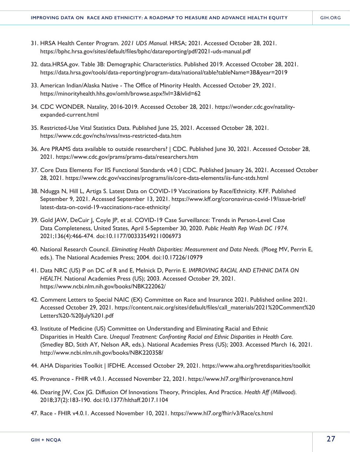- 31. HRSA Health Center Program. *2021 UDS Manual.* HRSA; 2021. Accessed October 28, 2021. https://bphc.hrsa.gov/sites/default/files/bphc/datareporting/pdf/2021-uds-manual.pdf
- 32. data.HRSA.gov. Table 3B: Demographic Characteristics. Published 2019. Accessed October 28, 2021. https://data.hrsa.gov/tools/data-reporting/program-data/national/table?tableName=3B&year=2019
- 33. American Indian/Alaska Native The Office of Minority Health. Accessed October 29, 2021. https://minorityhealth.hhs.gov/omh/browse.aspx?lvl=3&lvlid=62
- 34. CDC WONDER. Natality, 2016-2019. Accessed October 28, 2021. https://wonder.cdc.gov/natalityexpanded-current.html
- 35. Restricted-Use Vital Statistics Data. Published June 25, 2021. Accessed October 28, 2021. https://www.cdc.gov/nchs/nvss/nvss-restricted-data.htm
- 36. Are PRAMS data available to outside researchers? | CDC. Published June 30, 2021. Accessed October 28, 2021. https://www.cdc.gov/prams/prams-data/researchers.htm
- 37. Core Data Elements For IIS Functional Standards v4.0 | CDC. Published January 26, 2021. Accessed October 28, 2021. https://www.cdc.gov/vaccines/programs/iis/core-data-elements/iis-func-stds.html
- 38. Ndugga N, Hill L, Artiga S. Latest Data on COVID-19 Vaccinations by Race/Ethnicity. KFF. Published September 9, 2021. Accessed September 13, 2021. https://www.kff.org/coronavirus-covid-19/issue-brief/ latest-data-on-covid-19-vaccinations-race-ethnicity/
- 39. Gold JAW, DeCuir J, Coyle JP, et al. COVID-19 Case Surveillance: Trends in Person-Level Case Data Completeness, United States, April 5-September 30, 2020. *Public Health Rep Wash DC 1974.* 2021;136(4):466-474. doi:10.1177/00333549211006973
- 40. National Research Council. *Eliminating Health Disparities: Measurement and Data Needs.* (Ploeg MV, Perrin E, eds.). The National Academies Press; 2004. doi:10.17226/10979
- 41. Data NRC (US) P on DC of R and E, Melnick D, Perrin E. *IMPROVING RACIAL AND ETHNIC DATA ON HEALTH.* National Academies Press (US); 2003. Accessed October 29, 2021. https://www.ncbi.nlm.nih.gov/books/NBK222062/
- 42. Comment Letters to Special NAIC (EX) Committee on Race and Insurance 2021. Published online 2021. Accessed October 29, 2021. https://content.naic.org/sites/default/files/call\_materials/2021%20Comment%20 Letters%20-%20July%201.pdf
- 43. Institute of Medicine (US) Committee on Understanding and Eliminating Racial and Ethnic Disparities in Health Care. *Unequal Treatment: Confronting Racial and Ethnic Disparities in Health Care.* (Smedley BD, Stith AY, Nelson AR, eds.). National Academies Press (US); 2003. Accessed March 16, 2021. http://www.ncbi.nlm.nih.gov/books/NBK220358/
- 44. AHA Disparities Toolkit | IFDHE. Accessed October 29, 2021. https://www.aha.org/hretdisparities/toolkit
- 45. Provenance FHIR v4.0.1. Accessed November 22, 2021. https://www.hl7.org/fhir/provenance.html
- 46. Dearing JW, Cox JG. Diffusion Of Innovations Theory, Principles, And Practice. *Health Aff (Millwood).*  2018;37(2):183-190. doi:10.1377/hlthaff.2017.1104
- 47. Race FHIR v4.0.1. Accessed November 10, 2021. https://www.hl7.org/fhir/v3/Race/cs.html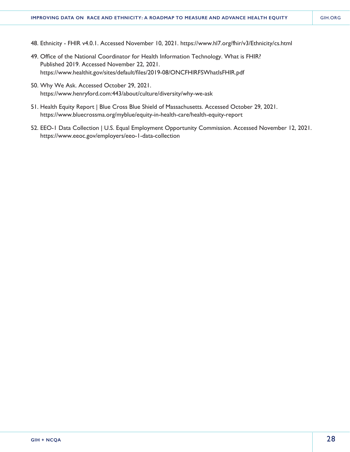- 48. Ethnicity FHIR v4.0.1. Accessed November 10, 2021. https://www.hl7.org/fhir/v3/Ethnicity/cs.html
- 49. Office of the National Coordinator for Health Information Technology. What is FHIR? Published 2019. Accessed November 22, 2021. https://www.healthit.gov/sites/default/files/2019-08/ONCFHIRFSWhatIsFHIR.pdf
- 50. Why We Ask. Accessed October 29, 2021. https://www.henryford.com:443/about/culture/diversity/why-we-ask
- 51. Health Equity Report | Blue Cross Blue Shield of Massachusetts. Accessed October 29, 2021. https://www.bluecrossma.org/myblue/equity-in-health-care/health-equity-report
- 52. EEO-1 Data Collection | U.S. Equal Employment Opportunity Commission. Accessed November 12, 2021. https://www.eeoc.gov/employers/eeo-1-data-collection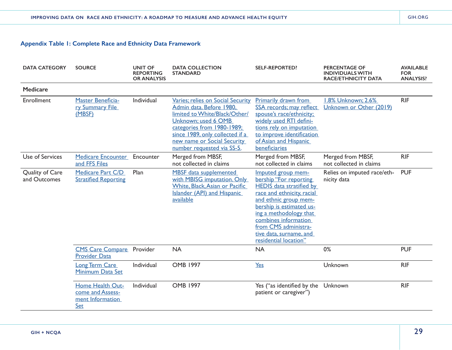| <b>DATA CATEGORY</b>            | <b>SOURCE</b>                                                          | <b>UNIT OF</b><br><b>REPORTING</b><br><b>OR ANALYSIS</b> | <b>DATA COLLECTION</b><br><b>STANDARD</b>                                                                                                                                                                                                           | <b>SELF-REPORTED?</b>                                                                                                                                                                                                                                                                            | <b>PERCENTAGE OF</b><br><b>INDIVIDUALS WITH</b><br><b>RACE/ETHNICITY DATA</b> | <b>AVAILABLE</b><br><b>FOR</b><br><b>ANALYSIS?</b> |
|---------------------------------|------------------------------------------------------------------------|----------------------------------------------------------|-----------------------------------------------------------------------------------------------------------------------------------------------------------------------------------------------------------------------------------------------------|--------------------------------------------------------------------------------------------------------------------------------------------------------------------------------------------------------------------------------------------------------------------------------------------------|-------------------------------------------------------------------------------|----------------------------------------------------|
| <b>Medicare</b>                 |                                                                        |                                                          |                                                                                                                                                                                                                                                     |                                                                                                                                                                                                                                                                                                  |                                                                               |                                                    |
| Enrollment                      | <b>Master Beneficia-</b><br>ry Summary File<br>(MBSF)                  | Individual                                               | Varies; relies on Social Security<br>Admin data. Before 1980,<br>limited to White/Black/Other/<br>Unknown; used 6 OMB<br>categories from 1980-1989;<br>since 1989, only collected if a<br>new name or Social Security<br>number requested via SS-5. | <b>Primarily drawn from</b><br>SSA records; may reflect<br>spouse's race/ethnicity;<br>widely used RTI defini-<br>tions rely on imputation<br>to improve identification<br>of Asian and Hispanic<br>beneficiaries                                                                                | 1.8% Unknown; 2.6%<br>Unknown or Other (2019)                                 | <b>RIF</b>                                         |
| Use of Services                 | <b>Medicare Encounter</b><br>and FFS Files                             | Encounter                                                | Merged from MBSF,<br>not collected in claims                                                                                                                                                                                                        | Merged from MBSF,<br>not collected in claims                                                                                                                                                                                                                                                     | Merged from MBSF,<br>not collected in claims                                  | <b>RIF</b>                                         |
| Quality of Care<br>and Outcomes | Medicare Part C/D<br><b>Stratified Reporting</b>                       | Plan                                                     | <b>MBSF</b> data supplemented<br>with MBISG imputation. Only<br>White, Black, Asian or Pacific<br><b>Islander (API) and Hispanic</b><br>available                                                                                                   | Imputed group mem-<br>bership "For reporting<br><b>HEDIS</b> data stratified by<br>race and ethnicity, racial<br>and ethnic group mem-<br>bership is estimated us-<br>ing a methodology that<br>combines information<br>from CMS administra-<br>tive data, surname, and<br>residential location" | Relies on imputed race/eth-<br>nicity data                                    | <b>PUF</b>                                         |
|                                 | <b>CMS Care Compare</b><br><b>Provider Data</b>                        | Provider                                                 | <b>NA</b>                                                                                                                                                                                                                                           | <b>NA</b>                                                                                                                                                                                                                                                                                        | 0%                                                                            | <b>PUF</b>                                         |
|                                 | <b>Long Term Care</b><br>Minimum Data Set                              | Individual                                               | <b>OMB 1997</b>                                                                                                                                                                                                                                     | Yes                                                                                                                                                                                                                                                                                              | Unknown                                                                       | <b>RIF</b>                                         |
|                                 | Home Health Out-<br>come and Assess-<br>ment Information<br><b>Set</b> | Individual                                               | <b>OMB 1997</b>                                                                                                                                                                                                                                     | Yes ("as identified by the<br>patient or caregiver")                                                                                                                                                                                                                                             | Unknown                                                                       | <b>RIF</b>                                         |

29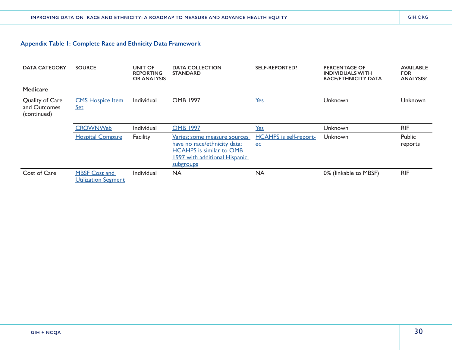| <b>DATA CATEGORY</b>                           | <b>SOURCE</b>                                      | UNIT OF<br><b>REPORTING</b><br><b>OR ANALYSIS</b> | <b>DATA COLLECTION</b><br><b>STANDARD</b>                                                                                                     | <b>SELF-REPORTED?</b>               | PERCENTAGE OF<br><b>INDIVIDUALS WITH</b><br><b>RACE/ETHNICITY DATA</b> | <b>AVAILABLE</b><br><b>FOR</b><br><b>ANALYSIS?</b> |
|------------------------------------------------|----------------------------------------------------|---------------------------------------------------|-----------------------------------------------------------------------------------------------------------------------------------------------|-------------------------------------|------------------------------------------------------------------------|----------------------------------------------------|
| <b>Medicare</b>                                |                                                    |                                                   |                                                                                                                                               |                                     |                                                                        |                                                    |
| Quality of Care<br>and Outcomes<br>(continued) | <b>CMS Hospice Item</b><br><u>Set</u>              | Individual                                        | <b>OMB 1997</b>                                                                                                                               | Yes                                 | Unknown                                                                | Unknown                                            |
|                                                | <b>CROWNWeb</b>                                    | Individual                                        | <b>OMB 1997</b>                                                                                                                               | Yes                                 | Unknown                                                                | <b>RIF</b>                                         |
|                                                | <b>Hospital Compare</b>                            | Facility                                          | Varies; some measure sources<br>have no race/ethnicity data;<br><b>HCAHPS</b> is similar to OMB<br>1997 with additional Hispanic<br>subgroups | <b>HCAHPS</b> is self-report-<br>ed | Unknown                                                                | Public<br>reports                                  |
| Cost of Care                                   | <b>MBSF Cost and</b><br><b>Utilization Segment</b> | Individual                                        | <b>NA</b>                                                                                                                                     | <b>NA</b>                           | 0% (linkable to MBSF)                                                  | <b>RIF</b>                                         |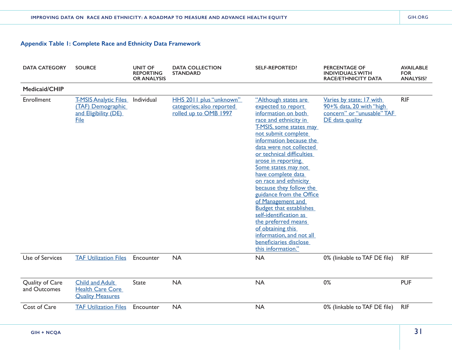| <b>DATA CATEGORY</b>            | <b>SOURCE</b>                                                                            | <b>UNIT OF</b><br><b>REPORTING</b><br><b>OR ANALYSIS</b> | <b>DATA COLLECTION</b><br><b>STANDARD</b>                                     | <b>SELF-REPORTED?</b>                                                                                                                                                                                                                                                                                                                                                                                                                                                                                                                                                                                | <b>PERCENTAGE OF</b><br><b>INDIVIDUALS WITH</b><br><b>RACE/ETHNICITY DATA</b>                         | <b>AVAILABLE</b><br><b>FOR</b><br><b>ANALYSIS?</b> |
|---------------------------------|------------------------------------------------------------------------------------------|----------------------------------------------------------|-------------------------------------------------------------------------------|------------------------------------------------------------------------------------------------------------------------------------------------------------------------------------------------------------------------------------------------------------------------------------------------------------------------------------------------------------------------------------------------------------------------------------------------------------------------------------------------------------------------------------------------------------------------------------------------------|-------------------------------------------------------------------------------------------------------|----------------------------------------------------|
| Medicaid/CHIP                   |                                                                                          |                                                          |                                                                               |                                                                                                                                                                                                                                                                                                                                                                                                                                                                                                                                                                                                      |                                                                                                       |                                                    |
| Enrollment                      | <b>T-MSIS Analytic Files</b><br>(TAF) Demographic<br>and Eligibility (DE)<br><b>File</b> | Individual                                               | HHS 2011 plus "unknown"<br>categories; also reported<br>rolled up to OMB 1997 | "Although states are<br>expected to report<br>information on both<br>race and ethnicity in<br><b>T-MSIS</b> , some states may<br>not submit complete<br>information because the<br>data were not collected<br>or technical difficulties<br>arose in reporting.<br>Some states may not<br>have complete data<br>on race and ethnicity<br>because they follow the<br>guidance from the Office<br>of Management and<br><b>Budget that establishes</b><br>self-identification as<br>the preferred means<br>of obtaining this<br>information, and not all<br>beneficiaries disclose<br>this information." | Varies by state; 17 with<br>90+% data, 20 with "high<br>concern" or "unusable" TAF<br>DE data quality | <b>RIF</b>                                         |
| Use of Services                 | <b>TAF Utilization Files</b>                                                             | Encounter                                                | <b>NA</b>                                                                     | <b>NA</b>                                                                                                                                                                                                                                                                                                                                                                                                                                                                                                                                                                                            | 0% (linkable to TAF DE file)                                                                          | <b>RIF</b>                                         |
| Quality of Care<br>and Outcomes | <b>Child and Adult</b><br><b>Health Care Core</b><br><b>Quality Measures</b>             | <b>State</b>                                             | <b>NA</b>                                                                     | <b>NA</b>                                                                                                                                                                                                                                                                                                                                                                                                                                                                                                                                                                                            | 0%                                                                                                    | <b>PUF</b>                                         |
| Cost of Care                    | <b>TAF Utilization Files</b>                                                             | Encounter                                                | <b>NA</b>                                                                     | <b>NA</b>                                                                                                                                                                                                                                                                                                                                                                                                                                                                                                                                                                                            | 0% (linkable to TAF DE file)                                                                          | <b>RIF</b>                                         |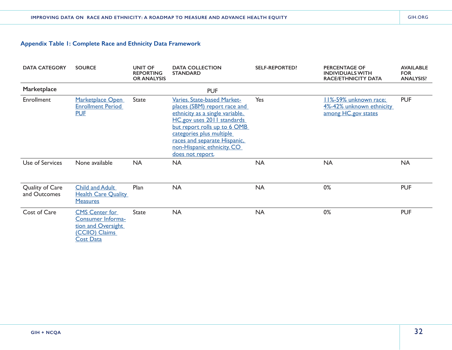| <b>DATA CATEGORY</b>            | <b>SOURCE</b>                                                                                          | <b>UNIT OF</b><br><b>REPORTING</b><br><b>OR ANALYSIS</b> | <b>DATA COLLECTION</b><br><b>STANDARD</b>                                                                                                                                                                                                                                  | <b>SELF-REPORTED?</b> | <b>PERCENTAGE OF</b><br><b>INDIVIDUALS WITH</b><br><b>RACE/ETHNICITY DATA</b> | <b>AVAILABLE</b><br><b>FOR</b><br><b>ANALYSIS?</b> |
|---------------------------------|--------------------------------------------------------------------------------------------------------|----------------------------------------------------------|----------------------------------------------------------------------------------------------------------------------------------------------------------------------------------------------------------------------------------------------------------------------------|-----------------------|-------------------------------------------------------------------------------|----------------------------------------------------|
| Marketplace                     |                                                                                                        |                                                          | <b>PUF</b>                                                                                                                                                                                                                                                                 |                       |                                                                               |                                                    |
| Enrollment                      | Marketplace Open<br><b>Enrollment Period</b><br><b>PUF</b>                                             | <b>State</b>                                             | Varies. State-based Market-<br>places (SBM) report race and<br>ethnicity as a single variable.<br>HC.gov uses 2011 standards<br>but report rolls up to 6 OMB<br>categories plus multiple<br>races and separate Hispanic,<br>non-Hispanic ethnicity. CO<br>does not report. | Yes                   | 11%-59% unknown race;<br>4%-42% unknown ethnicity<br>among HC.gov states      | <b>PUF</b>                                         |
| Use of Services                 | None available                                                                                         | <b>NA</b>                                                | <b>NA</b>                                                                                                                                                                                                                                                                  | <b>NA</b>             | <b>NA</b>                                                                     | <b>NA</b>                                          |
| Quality of Care<br>and Outcomes | <b>Child and Adult</b><br><b>Health Care Quality</b><br><b>Measures</b>                                | Plan                                                     | <b>NA</b>                                                                                                                                                                                                                                                                  | <b>NA</b>             | 0%                                                                            | <b>PUF</b>                                         |
| Cost of Care                    | <b>CMS Center for</b><br>Consumer Informa-<br>tion and Oversight<br>(CCIIO) Claims<br><b>Cost Data</b> | <b>State</b>                                             | <b>NA</b>                                                                                                                                                                                                                                                                  | <b>NA</b>             | 0%                                                                            | <b>PUF</b>                                         |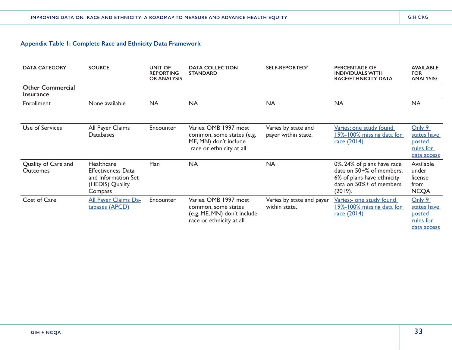| <b>DATA CATEGORY</b>                        | <b>SOURCE</b>                                                                                       | <b>UNIT OF</b><br><b>REPORTING</b><br><b>OR ANALYSIS</b> | <b>DATA COLLECTION</b><br><b>STANDARD</b>                                                               | <b>SELF-REPORTED?</b>                      | <b>PERCENTAGE OF</b><br><b>INDIVIDUALS WITH</b><br><b>RACE/ETHNICITY DATA</b>                                              | <b>AVAILABLE</b><br><b>FOR</b><br><b>ANALYSIS?</b>                 |
|---------------------------------------------|-----------------------------------------------------------------------------------------------------|----------------------------------------------------------|---------------------------------------------------------------------------------------------------------|--------------------------------------------|----------------------------------------------------------------------------------------------------------------------------|--------------------------------------------------------------------|
| <b>Other Commercial</b><br><b>Insurance</b> |                                                                                                     |                                                          |                                                                                                         |                                            |                                                                                                                            |                                                                    |
| Enrollment                                  | None available                                                                                      | <b>NA</b>                                                | <b>NA</b>                                                                                               | <b>NA</b>                                  | <b>NA</b>                                                                                                                  | <b>NA</b>                                                          |
| Use of Services                             | All Payer Claims<br><b>Databases</b>                                                                | Encounter                                                | Varies. OMB 1997 most<br>common, some states (e.g.<br>ME, MN) don't include<br>race or ethnicity at all | Varies by state and<br>payer within state. | Varies; one study found<br>19%-100% missing data for<br><u>race (2014)</u>                                                 | Only 9<br>states have<br><u>posted</u><br>rules for<br>data access |
| Quality of Care and<br><b>Outcomes</b>      | <b>Healthcare</b><br><b>Effectiveness Data</b><br>and Information Set<br>(HEDIS) Quality<br>Compass | Plan                                                     | <b>NA</b>                                                                                               | <b>NA</b>                                  | 0%. 24% of plans have race<br>data on 50+% of members,<br>6% of plans have ethnicity<br>data on 50%+ of members<br>(2019). | Available<br>under<br>license<br>from<br><b>NCQA</b>               |
| Cost of Care                                | <b>All Payer Claims Da-</b><br>tabases (APCD)                                                       | Encounter                                                | Varies. OMB 1997 most<br>common, some states<br>(e.g. ME, MN) don't include<br>race or ethnicity at all | Varies by state and payer<br>within state. | Varies;- one study found<br>19%-100% missing data for<br>race (2014)                                                       | Only 9<br>states have<br><u>posted</u><br>rules for<br>data access |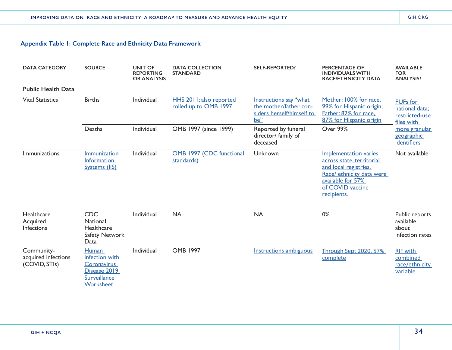| <b>DATA CATEGORY</b>                               | <b>SOURCE</b>                                                                                     | <b>UNIT OF</b><br><b>REPORTING</b><br><b>OR ANALYSIS</b> | <b>DATA COLLECTION</b><br><b>STANDARD</b>        | <b>SELF-REPORTED?</b>                                                                | <b>PERCENTAGE OF</b><br><b>INDIVIDUALS WITH</b><br><b>RACE/ETHNICITY DATA</b>                                                                                           | <b>AVAILABLE</b><br><b>FOR</b><br><b>ANALYSIS?</b>                |
|----------------------------------------------------|---------------------------------------------------------------------------------------------------|----------------------------------------------------------|--------------------------------------------------|--------------------------------------------------------------------------------------|-------------------------------------------------------------------------------------------------------------------------------------------------------------------------|-------------------------------------------------------------------|
| <b>Public Health Data</b>                          |                                                                                                   |                                                          |                                                  |                                                                                      |                                                                                                                                                                         |                                                                   |
| <b>Vital Statistics</b>                            | <b>Births</b>                                                                                     | Individual                                               | HHS 2011; also reported<br>rolled up to OMB 1997 | Instructions say "what<br>the mother/father con-<br>siders herself/himself to<br>be" | Mother: 100% for race,<br>99% for Hispanic origin;<br>Father: 82% for race,<br>87% for Hispanic origin                                                                  | <b>PUFs</b> for<br>national data;<br>restricted-use<br>files with |
|                                                    | Deaths                                                                                            | Individual                                               | OMB 1997 (since 1999)                            | Reported by funeral<br>director/ family of<br>deceased                               | Over 99%                                                                                                                                                                | more granular<br>geographic<br>identifiers                        |
| Immunizations                                      | <i>Immunization</i><br><b>Information</b><br>Systems (IIS)                                        | Individual                                               | OMB 1997 (CDC functional<br>standards)           | Unknown                                                                              | <b>Implementation varies</b><br>across state, territorial<br>and local registries.<br>Race/ ethnicity data were<br>available for 57%<br>of COVID vaccine<br>recipients. | Not available                                                     |
| Healthcare<br>Acquired<br>Infections               | <b>CDC</b><br>National<br>Healthcare<br>Safety Network<br>Data                                    | Individual                                               | <b>NA</b>                                        | <b>NA</b>                                                                            | 0%                                                                                                                                                                      | Public reports<br>available<br>about<br>infection rates           |
| Community-<br>acquired infections<br>(COVID, STIs) | <b>Human</b><br>infection with<br>Coronavirus<br>Disease 2019<br><b>Surveillance</b><br>Worksheet | Individual                                               | <b>OMB 1997</b>                                  | <b>Instructions ambiguous</b>                                                        | <b>Through Sept 2020, 57%</b><br>complete                                                                                                                               | <b>RIF with</b><br>combined<br>race/ethnicity<br>variable         |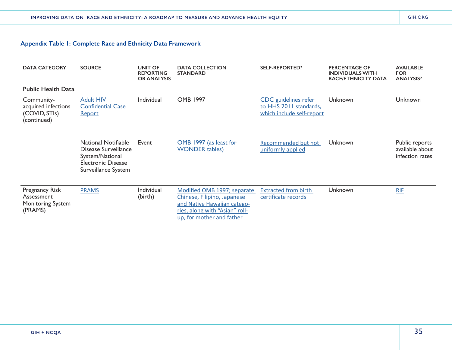| <b>DATA CATEGORY</b>                                                       | <b>SOURCE</b>                                                                                                             | <b>UNIT OF</b><br><b>REPORTING</b><br><b>OR ANALYSIS</b> | <b>DATA COLLECTION</b><br><b>STANDARD</b>                                                                                                                | <b>SELF-REPORTED?</b>                                                              | <b>PERCENTAGE OF</b><br><b>INDIVIDUALS WITH</b><br><b>RACE/ETHNICITY DATA</b> | <b>AVAILABLE</b><br><b>FOR</b><br><b>ANALYSIS?</b>   |
|----------------------------------------------------------------------------|---------------------------------------------------------------------------------------------------------------------------|----------------------------------------------------------|----------------------------------------------------------------------------------------------------------------------------------------------------------|------------------------------------------------------------------------------------|-------------------------------------------------------------------------------|------------------------------------------------------|
| <b>Public Health Data</b>                                                  |                                                                                                                           |                                                          |                                                                                                                                                          |                                                                                    |                                                                               |                                                      |
| Community-<br>acquired infections<br>(COVID, STIs)<br>(continued)          | <b>Adult HIV</b><br><b>Confidential Case</b><br><b>Report</b>                                                             | <b>Individual</b>                                        | <b>OMB 1997</b>                                                                                                                                          | <b>CDC</b> guidelines refer<br>to HHS 2011 standards,<br>which include self-report | Unknown                                                                       | Unknown                                              |
|                                                                            | <b>National Notifiable</b><br>Disease Surveillance<br>System/National<br><b>Electronic Disease</b><br>Surveillance System | Event                                                    | OMB 1997 (as least for<br><b>WONDER</b> tables)                                                                                                          | Recommended but not<br>uniformly applied                                           | Unknown                                                                       | Public reports<br>available about<br>infection rates |
| <b>Pregnancy Risk</b><br>Assessment<br><b>Monitoring System</b><br>(PRAMS) | <b>PRAMS</b>                                                                                                              | Individual<br>(birth)                                    | Modified OMB 1997; separate<br>Chinese, Filipino, Japanese<br>and Native Hawaiian catego-<br>ries, along with "Asian" roll-<br>up, for mother and father | <b>Extracted from birth</b><br>certificate records                                 | Unknown                                                                       | <b>RIF</b>                                           |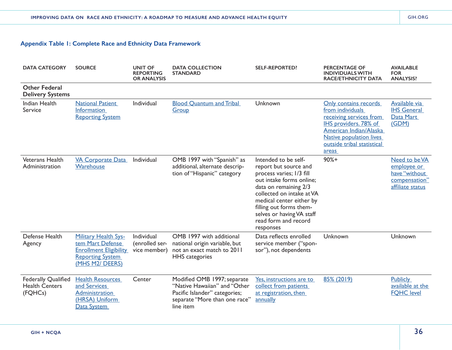| <b>DATA CATEGORY</b>                                           | <b>SOURCE</b>                                                                                                                  | <b>UNIT OF</b><br><b>REPORTING</b><br><b>OR ANALYSIS</b> | <b>DATA COLLECTION</b><br><b>STANDARD</b>                                                                                                  | <b>SELF-REPORTED?</b>                                                                                                                                                                                                                                                                | <b>PERCENTAGE OF</b><br><b>INDIVIDUALS WITH</b><br><b>RACE/ETHNICITY DATA</b>                                                                                                                    | <b>AVAILABLE</b><br><b>FOR</b><br><b>ANALYSIS?</b>                                 |
|----------------------------------------------------------------|--------------------------------------------------------------------------------------------------------------------------------|----------------------------------------------------------|--------------------------------------------------------------------------------------------------------------------------------------------|--------------------------------------------------------------------------------------------------------------------------------------------------------------------------------------------------------------------------------------------------------------------------------------|--------------------------------------------------------------------------------------------------------------------------------------------------------------------------------------------------|------------------------------------------------------------------------------------|
| <b>Other Federal</b><br><b>Delivery Systems</b>                |                                                                                                                                |                                                          |                                                                                                                                            |                                                                                                                                                                                                                                                                                      |                                                                                                                                                                                                  |                                                                                    |
| <b>Indian Health</b><br>Service                                | <b>National Patient</b><br><b>Information</b><br><b>Reporting System</b>                                                       | Individual                                               | <b>Blood Quantum and Tribal</b><br>Group                                                                                                   | Unknown                                                                                                                                                                                                                                                                              | Only contains records<br>from individuals<br>receiving services from<br>IHS providers. 78% of<br>American Indian/Alaska<br><b>Native population lives</b><br>outside tribal statistical<br>areas | Available via<br><b>IHS General</b><br>Data Mart<br>(GDM)                          |
| Veterans Health<br>Administration                              | <b>VA Corporate Data</b><br>Warehouse                                                                                          | Individual                                               | OMB 1997 with "Spanish" as<br>additional, alternate descrip-<br>tion of "Hispanic" category                                                | Intended to be self-<br>report but source and<br>process varies; 1/3 fill<br>out intake forms online;<br>data on remaining 2/3<br>collected on intake at VA<br>medical center either by<br>filling out forms them-<br>selves or having VA staff<br>read form and record<br>responses | $90%+$                                                                                                                                                                                           | Need to be VA<br>employee or<br>have "without<br>compensation"<br>affiliate status |
| Defense Health<br>Agency                                       | <b>Military Health Sys-</b><br>tem Mart Defense<br><b>Enrollment Eligibility</b><br><b>Reporting System</b><br>(MHS M2/ DEERS) | Individual<br>(enrolled ser-<br>vice member)             | OMB 1997 with additional<br>national origin variable, but<br>not an exact match to 2011<br><b>HHS</b> categories                           | Data reflects enrolled<br>service member ("spon-<br>sor"), not dependents                                                                                                                                                                                                            | Unknown                                                                                                                                                                                          | Unknown                                                                            |
| <b>Federally Qualified</b><br><b>Health Centers</b><br>(FQHCs) | <b>Health Resources</b><br>and Services<br><b>Administration</b><br>(HRSA) Uniform<br>Data System                              | Center                                                   | Modified OMB 1997; separate<br>"Native Hawaiian" and "Other<br>Pacific Islander" categories;<br>separate "More than one race"<br>line item | Yes, instructions are to<br>collect from patients<br>at registration, then<br>annually                                                                                                                                                                                               | 85% (2019)                                                                                                                                                                                       | <b>Publicly</b><br>available at the<br><b>FQHC</b> level                           |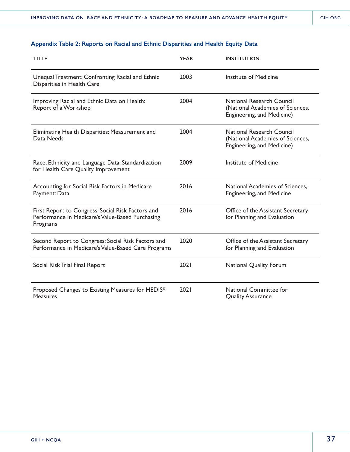| <b>TITLE</b>                                                                                                      | <b>YEAR</b> | <b>INSTITUTION</b>                                                                                 |
|-------------------------------------------------------------------------------------------------------------------|-------------|----------------------------------------------------------------------------------------------------|
| Unequal Treatment: Confronting Racial and Ethnic<br>Disparities in Health Care                                    | 2003        | Institute of Medicine                                                                              |
| Improving Racial and Ethnic Data on Health:<br>Report of a Workshop                                               | 2004        | <b>National Research Council</b><br>(National Academies of Sciences,<br>Engineering, and Medicine) |
| Eliminating Health Disparities: Measurement and<br>Data Needs                                                     | 2004        | <b>National Research Council</b><br>(National Academies of Sciences,<br>Engineering, and Medicine) |
| Race, Ethnicity and Language Data: Standardization<br>for Health Care Quality Improvement                         | 2009        | <b>Institute of Medicine</b>                                                                       |
| Accounting for Social Risk Factors in Medicare<br>Payment: Data                                                   | 2016        | National Academies of Sciences,<br><b>Engineering, and Medicine</b>                                |
| First Report to Congress: Social Risk Factors and<br>Performance in Medicare's Value-Based Purchasing<br>Programs | 2016        | Office of the Assistant Secretary<br>for Planning and Evaluation                                   |
| Second Report to Congress: Social Risk Factors and<br>Performance in Medicare's Value-Based Care Programs         | 2020        | Office of the Assistant Secretary<br>for Planning and Evaluation                                   |
| Social Risk Trial Final Report                                                                                    | 2021        | <b>National Quality Forum</b>                                                                      |
| Proposed Changes to Existing Measures for HEDIS <sup>®</sup><br><b>Measures</b>                                   | 2021        | <b>National Committee for</b><br><b>Quality Assurance</b>                                          |

# **Appendix Table 2: Reports on Racial and Ethnic Disparities and Health Equity Data**